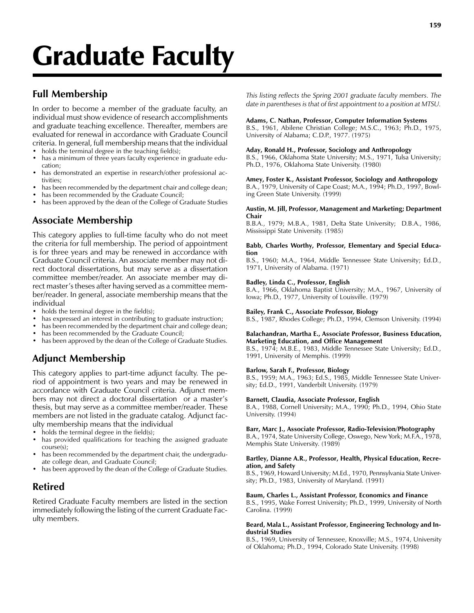# Graduate Faculty

# Full Membership

In order to become a member of the graduate faculty, an individual must show evidence of research accomplishments and graduate teaching excellence. Thereafter, members are evaluated for renewal in accordance with Graduate Council criteria. In general, full membership means that the individual

- holds the terminal degree in the teaching field(s); has a minimum of three years faculty experience in graduate education;
- has demonstrated an expertise in research/other professional activities;
- has been recommended by the department chair and college dean;
- has been recommended by the Graduate Council;

has been approved by the dean of the College of Graduate Studies

# Associate Membership

This category applies to full-time faculty who do not meet the criteria for full membership. The period of appointment is for three years and may be renewed in accordance with Graduate Council criteria. An associate member may not direct doctoral dissertations, but may serve as a dissertation committee member/reader. An associate member may direct master's theses after having served as a committee member/reader. In general, associate membership means that the individual

- holds the terminal degree in the field(s);
- has expressed an interest in contributing to graduate instruction;
- has been recommended by the department chair and college dean;
- has been recommended by the Graduate Council;
- has been approved by the dean of the College of Graduate Studies.

# Adjunct Membership

This category applies to part-time adjunct faculty. The period of appointment is two years and may be renewed in accordance with Graduate Council criteria. Adjunct members may not direct a doctoral dissertation or a master's thesis, but may serve as a committee member/reader. These members are not listed in the graduate catalog. Adjunct faculty membership means that the individual

- holds the terminal degree in the field(s);
- has provided qualifications for teaching the assigned graduate course(s);
- has been recommended by the department chair, the undergraduate college dean, and Graduate Council;
- has been approved by the dean of the College of Graduate Studies.

# Retired

Retired Graduate Faculty members are listed in the section immediately following the listing of the current Graduate Faculty members.

This listing reflects the Spring 2001 graduate faculty members. The date in parentheses is that of first appointment to a position at MTSU.

## Adams, C. Nathan, Professor, Computer Information Systems

B.S., 1961, Abilene Christian College; M.S.C., 1963; Ph.D., 1975, University of Alabama; C.D.P., 1977. (1975)

#### Aday, Ronald H., Professor, Sociology and Anthropology

B.S., 1966, Oklahoma State University; M.S., 1971, Tulsa University; Ph.D., 1976, Oklahoma State University. (1980)

Amey, Foster K., Assistant Professor, Sociology and Anthropology B.A., 1979, University of Cape Coast; M.A., 1994; Ph.D., 1997, Bowling Green State University. (1999)

#### Austin, M. Jill, Professor, Management and Marketing; Department Chair

B.B.A., 1979; M.B.A., 1981, Delta State University; D.B.A., 1986, Mississippi State University. (1985)

#### Babb, Charles Worthy, Professor, Elementary and Special Education

B.S., 1960; M.A., 1964, Middle Tennessee State University; Ed.D., 1971, University of Alabama. (1971)

## Badley, Linda C., Professor, English

B.A., 1966, Oklahoma Baptist University; M.A., 1967, University of Iowa; Ph.D., 1977, University of Louisville. (1979)

## Bailey, Frank C., Associate Professor, Biology

B.S., 1987, Rhodes College; Ph.D., 1994, Clemson University. (1994)

#### Balachandran, Martha E., Associate Professor, Business Education, Marketing Education, and Office Management

B.S., 1974; M.B.E., 1983, Middle Tennessee State University; Ed.D., 1991, University of Memphis. (1999)

## Barlow, Sarah F., Professor, Biology

B.S., 1959; M.A., 1963; Ed.S., 1985, Middle Tennessee State University; Ed.D., 1991, Vanderbilt University. (1979)

#### Barnett, Claudia, Associate Professor, English

B.A., 1988, Cornell University; M.A., 1990; Ph.D., 1994, Ohio State University. (1994)

#### Barr, Marc J., Associate Professor, Radio-Television/Photography

B.A., 1974, State University College, Oswego, New York; M.F.A., 1978, Memphis State University. (1989)

#### Bartley, Dianne A.R., Professor, Health, Physical Education, Recreation, and Safety

B.S., 1969, Howard University; M.Ed., 1970, Pennsylvania State University; Ph.D., 1983, University of Maryland. (1991)

#### Baum, Charles L., Assistant Professor, Economics and Finance

B.S., 1995, Wake Forrest University; Ph.D., 1999, University of North Carolina. (1999)

#### Beard, Mala L., Assistant Professor, Engineering Technology and Industrial Studies

B.S., 1969, University of Tennessee, Knoxville; M.S., 1974, University of Oklahoma; Ph.D., 1994, Colorado State University. (1998)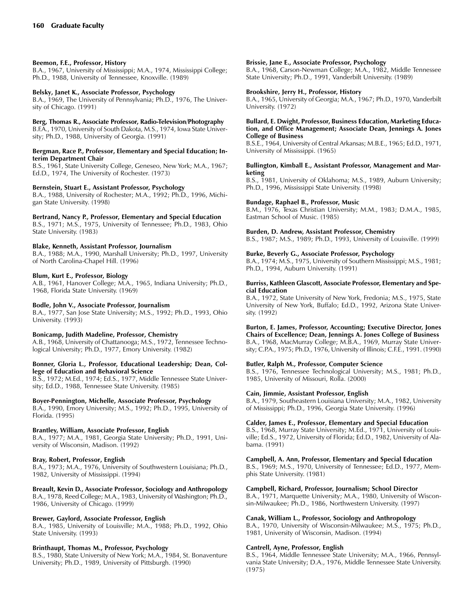## Beemon, F.E., Professor, History

B.A., 1967, University of Mississippi; M.A., 1974, Mississippi College; Ph.D., 1988, University of Tennessee, Knoxville. (1989)

## Belsky, Janet K., Associate Professor, Psychology

B.A., 1969, The University of Pennsylvania; Ph.D., 1976, The University of Chicago. (1991)

## Berg, Thomas R., Associate Professor, Radio-Television/Photography

B.F.A., 1970, University of South Dakota, M.S., 1974, Iowa State University; Ph.D., 1988, University of Georgia. (1991)

#### Bergman, Race P., Professor, Elementary and Special Education; Interim Department Chair

B.S., 1961, State University College, Geneseo, New York; M.A., 1967; Ed.D., 1974, The University of Rochester. (1973)

## Bernstein, Stuart E., Assistant Professor, Psychology

B.A., 1988, University of Rochester; M.A., 1992; Ph.D., 1996, Michigan State University. (1998)

## Bertrand, Nancy P., Professor, Elementary and Special Education

B.S., 1971; M.S., 1975, University of Tennessee; Ph.D., 1983, Ohio State University. (1983)

## Blake, Kenneth, Assistant Professor, Journalism

B.A., 1988; M.A., 1990, Marshall University; Ph.D., 1997, University of North Carolina-Chapel Hill. (1996)

## Blum, Kurt E., Professor, Biology

A.B., 1961, Hanover College; M.A., 1965, Indiana University; Ph.D., 1968, Florida State University. (1969)

## Bodle, John V., Associate Professor, Journalism

B.A., 1977, San Jose State University; M.S., 1992; Ph.D., 1993, Ohio University. (1993)

## Bonicamp, Judith Madeline, Professor, Chemistry

A.B., 1968, University of Chattanooga; M.S., 1972, Tennessee Technological University; Ph.D., 1977, Emory University. (1982)

## Bonner, Gloria L., Professor, Educational Leadership; Dean, College of Education and Behavioral Science

B.S., 1972; M.Ed., 1974; Ed.S., 1977, Middle Tennessee State University; Ed.D., 1988, Tennessee State University. (1985)

## Boyer-Pennington, Michelle, Associate Professor, Psychology

B.A., 1990, Emory University; M.S., 1992; Ph.D., 1995, University of Florida. (1995)

## Brantley, William, Associate Professor, English

B.A., 1977; M.A., 1981, Georgia State University; Ph.D., 1991, University of Wisconsin, Madison. (1992)

## Bray, Robert, Professor, English

B.A., 1973; M.A., 1976, University of Southwestern Louisiana; Ph.D., 1982, University of Mississippi. (1994)

Breault, Kevin D., Associate Professor, Sociology and Anthropology B.A., 1978, Reed College; M.A., 1983, University of Washington; Ph.D., 1986, University of Chicago. (1999)

## Brewer, Gaylord, Associate Professor, English

B.A., 1985, University of Louisville; M.A., 1988; Ph.D., 1992, Ohio State University. (1993)

## Brinthaupt, Thomas M., Professor, Psychology

B.S., 1980, State University of New York; M.A., 1984, St. Bonaventure University; Ph.D., 1989, University of Pittsburgh. (1990)

## Brissie, Jane E., Associate Professor, Psychology

B.A., 1968, Carson-Newman College; M.A., 1982, Middle Tennessee State University; Ph.D., 1991, Vanderbilt University. (1989)

## Brookshire, Jerry H., Professor, History

B.A., 1965, University of Georgia; M.A., 1967; Ph.D., 1970, Vanderbilt University. (1972)

#### Bullard, E. Dwight, Professor, Business Education, Marketing Education, and Office Management; Associate Dean, Jennings A. Jones College of Business

B.S.E., 1964, University of Central Arkansas; M.B.E., 1965; Ed.D., 1971, University of Mississippi. (1965)

## Bullington, Kimball E., Assistant Professor, Management and Marketing

B.S., 1981, University of Oklahoma; M.S., 1989, Auburn University; Ph.D., 1996, Mississippi State University. (1998)

## Bundage, Raphael B., Professor, Music

B.M., 1976, Texas Christian University; M.M., 1983; D.M.A., 1985, Eastman School of Music. (1985)

## Burden, D. Andrew, Assistant Professor, Chemistry

B.S., 1987; M.S., 1989; Ph.D., 1993, University of Louisville. (1999)

## Burke, Beverly G., Associate Professor, Psychology

B.A., 1974; M.S., 1975, University of Southern Mississippi; M.S., 1981; Ph.D., 1994, Auburn University. (1991)

#### Burriss, Kathleen Glascott, Associate Professor, Elementary and Special Education

B.A., 1972, State University of New York, Fredonia; M.S., 1975, State University of New York, Buffalo; Ed.D., 1992, Arizona State University. (1992)

## Burton, E. James, Professor, Accounting; Executive Director, Jones

Chairs of Excellence; Dean, Jennings A. Jones College of Business B.A., 1968, MacMurray College; M.B.A., 1969, Murray State University; C.P.A., 1975; Ph.D., 1976, University of Illinois; C.F.E., 1991. (1990)

## Butler, Ralph M., Professor, Computer Science

B.S., 1976, Tennessee Technological University; M.S., 1981; Ph.D., 1985, University of Missouri, Rolla. (2000)

## Cain, Jimmie, Assistant Professor, English

B.A., 1979, Southeastern Louisiana University; M.A., 1982, University of Mississippi; Ph.D., 1996, Georgia State University. (1996)

## Calder, James E., Professor, Elementary and Special Education

B.S., 1968, Murray State University; M.Ed., 1971, University of Louisville; Ed.S., 1972, University of Florida; Ed.D., 1982, University of Alabama. (1991)

## Campbell, A. Ann, Professor, Elementary and Special Education

B.S., 1969; M.S., 1970, University of Tennessee; Ed.D., 1977, Memphis State University. (1981)

## Campbell, Richard, Professor, Journalism; School Director

B.A., 1971, Marquette University; M.A., 1980, University of Wisconsin-Milwaukee; Ph.D., 1986, Northwestern University. (1997)

## Canak, William L., Professor, Sociology and Anthropology

B.A., 1970, University of Wisconsin-Milwaukee; M.S., 1975; Ph.D., 1981, University of Wisconsin, Madison. (1994)

## Cantrell, Ayne, Professor, English

B.S., 1964, Middle Tennessee State University; M.A., 1966, Pennsylvania State University; D.A., 1976, Middle Tennessee State University. (1975)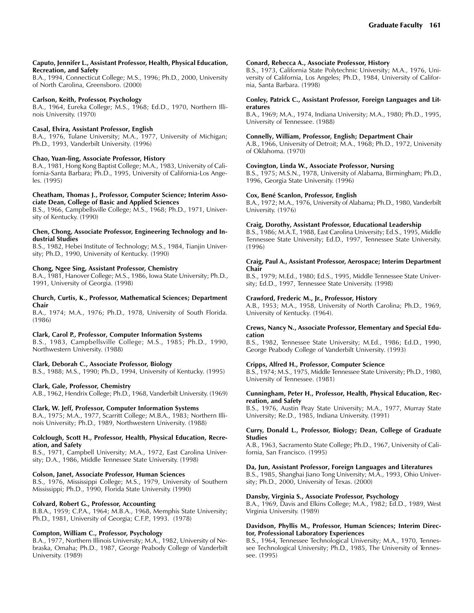#### Caputo, Jennifer L., Assistant Professor, Health, Physical Education, Recreation, and Safety

B.A., 1994, Connecticut College; M.S., 1996; Ph.D., 2000, University of North Carolina, Greensboro. (2000)

## Carlson, Keith, Professor, Psychology

B.A., 1964, Eureka College; M.S., 1968; Ed.D., 1970, Northern Illinois University. (1970)

## Casal, Elvira, Assistant Professor, English

B.A., 1976, Tulane University; M.A., 1977, University of Michigan; Ph.D., 1993, Vanderbilt University. (1996)

#### Chao, Yuan-ling, Associate Professor, History

B.A., 1981, Hong Kong Baptist College; M.A., 1983, University of California-Santa Barbara; Ph.D., 1995, University of California-Los Angeles. (1995)

#### Cheatham, Thomas J., Professor, Computer Science; Interim Associate Dean, College of Basic and Applied Sciences

B.S., 1966, Campbellsville College; M.S., 1968; Ph.D., 1971, University of Kentucky. (1990)

#### Chen, Chong, Associate Professor, Engineering Technology and Industrial Studies

B.S., 1982, Hebei Institute of Technology; M.S., 1984, Tianjin University; Ph.D., 1990, University of Kentucky. (1990)

#### Chong, Ngee Sing, Assistant Professor, Chemistry

B.A., 1981, Hanover College; M.S., 1986, Iowa State University; Ph.D., 1991, University of Georgia. (1998)

#### Church, Curtis, K., Professor, Mathematical Sciences; Department Chair

B.A., 1974; M.A., 1976; Ph.D., 1978, University of South Florida. (1986)

## Clark, Carol P., Professor, Computer Information Systems

B.S., 1983, Campbellsville College; M.S., 1985; Ph.D., 1990, Northwestern University. (1988)

## Clark, Deborah C., Associate Professor, Biology

B.S., 1988; M.S., 1990; Ph.D., 1994, University of Kentucky. (1995)

## Clark, Gale, Professor, Chemistry

A.B., 1962, Hendrix College; Ph.D., 1968, Vanderbilt University. (1969)

## Clark, W. Jeff, Professor, Computer Information Systems

B.A., 1975; M.A., 1977, Scarritt College; M.B.A., 1983; Northern Illinois University; Ph.D., 1989, Northwestern University. (1988)

#### Colclough, Scott H., Professor, Health, Physical Education, Recreation, and Safety

B.S., 1971, Campbell University; M.A., 1972, East Carolina University; D.A., 1986, Middle Tennessee State University. (1998)

## Colson, Janet, Associate Professor, Human Sciences

B.S., 1976, Mississippi College; M.S., 1979, University of Southern Mississippi; Ph.D., 1990, Florida State University. (1990)

## Colvard, Robert G., Professor, Accounting

B.B.A., 1959; C.P.A., 1964; M.B.A., 1968, Memphis State University; Ph.D., 1981, University of Georgia; C.F.P., 1993. (1978)

## Compton, William C., Professor, Psychology

B.A., 1977, Northern Illinois University; M.A., 1982, University of Nebraska, Omaha; Ph.D., 1987, George Peabody College of Vanderbilt University. (1989)

#### Conard, Rebecca A., Associate Professor, History

B.S., 1973, California State Polytechnic University; M.A., 1976, University of California, Los Angeles; Ph.D., 1984, University of California, Santa Barbara. (1998)

#### Conley, Patrick C., Assistant Professor, Foreign Languages and Literatures

B.A., 1969; M.A., 1974, Indiana University; M.A., 1980; Ph.D., 1995, University of Tennessee. (1988)

#### Connelly, William, Professor, English; Department Chair

A.B., 1966, University of Detroit; M.A., 1968; Ph.D., 1972, University of Oklahoma. (1970)

#### Covington, Linda W., Associate Professor, Nursing

B.S., 1975; M.S.N., 1978, University of Alabama, Birmingham; Ph.D., 1996, Georgia State University. (1996)

#### Cox, Bené Scanlon, Professor, English

B.A., 1972; M.A., 1976, University of Alabama; Ph.D., 1980, Vanderbilt University. (1976)

## Craig, Dorothy, Assistant Professor, Educational Leadership

B.S., 1986; M.A.T., 1988, East Carolina University; Ed.S., 1995, Middle Tennessee State University; Ed.D., 1997, Tennessee State University. (1996)

#### Craig, Paul A., Assistant Professor, Aerospace; Interim Department Chair

B.S., 1979; M.Ed., 1980; Ed.S., 1995, Middle Tennessee State University; Ed.D., 1997, Tennessee State University. (1998)

#### Crawford, Frederic M., Jr., Professor, History

A.B., 1953; M.A., 1958, University of North Carolina; Ph.D., 1969, University of Kentucky. (1964).

#### Crews, Nancy N., Associate Professor, Elementary and Special Education

B.S., 1982, Tennessee State University; M.Ed., 1986; Ed.D., 1990, George Peabody College of Vanderbilt University. (1993)

#### Cripps, Alfred H., Professor, Computer Science

B.S., 1974; M.S., 1975, Middle Tennessee State University; Ph.D., 1980, University of Tennessee. (1981)

#### Cunningham, Peter H., Professor, Health, Physical Education, Recreation, and Safety

B.S., 1976, Austin Peay State University; M.A., 1977, Murray State University; Re.D., 1985, Indiana University. (1991)

#### Curry, Donald L., Professor, Biology; Dean, College of Graduate Studies

A.B., 1963, Sacramento State College; Ph.D., 1967, University of California, San Francisco. (1995)

#### Da, Jun, Assistant Professor, Foreign Languages and Literatures

B.S., 1985, Shanghai Jiano Tong University; M.A., 1993, Ohio University; Ph.D., 2000, University of Texas. (2000)

## Dansby, Virginia S., Associate Professor, Psychology

B.A., 1969, Davis and Elkins College; M.A., 1982; Ed.D., 1989, West Virginia University. (1989)

#### Davidson, Phyllis M., Professor, Human Sciences; Interim Director, Professional Laboratory Experiences

B.S., 1964, Tennessee Technological University; M.A., 1970, Tennessee Technological University; Ph.D., 1985, The University of Tennessee. (1995)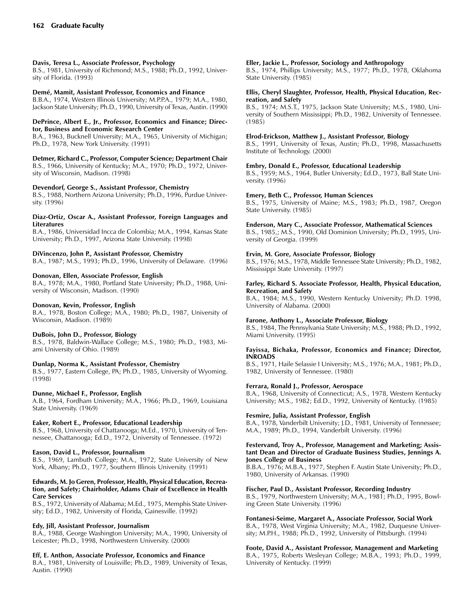## Davis, Teresa L., Associate Professor, Psychology

B.S., 1981, University of Richmond; M.S., 1988; Ph.D., 1992, University of Florida. (1993)

## Demé, Mamit, Assistant Professor, Economics and Finance

B.B.A., 1974, Western Illinois University; M.P.P.A., 1979; M.A., 1980, Jackson State University; Ph.D., 1990, University of Texas, Austin. (1990)

#### DePrince, Albert E., Jr., Professor, Economics and Finance; Director, Business and Economic Research Center

B.A., 1963, Bucknell University; M.A., 1965, University of Michigan; Ph.D., 1978, New York University. (1991)

Detmer, Richard C., Professor, Computer Science; Department Chair B.S., 1966, University of Kentucky; M.A., 1970; Ph.D., 1972, University of Wisconsin, Madison. (1998)

## Devendorf, George S., Assistant Professor, Chemistry

B.S., 1988, Northern Arizona University; Ph.D., 1996, Purdue University. (1996)

## Diaz-Ortiz, Oscar A., Assistant Professor, Foreign Languages and Literatures

B.A., 1986, Universidad Incca de Colombia; M.A., 1994, Kansas State University; Ph.D., 1997, Arizona State University. (1998)

## DiVincenzo, John P., Assistant Professor, Chemistry

B.A., 1987; M.S., 1993; Ph.D., 1996, University of Delaware. (1996)

## Donovan, Ellen, Associate Professor, English

B.A., 1978; M.A., 1980, Portland State University; Ph.D., 1988, University of Wisconsin, Madison. (1990)

## Donovan, Kevin, Professor, English

B.A., 1978, Boston College; M.A., 1980; Ph.D., 1987, University of Wisconsin, Madison. (1989)

## DuBois, John D., Professor, Biology

B.S., 1978, Baldwin-Wallace College; M.S., 1980; Ph.D., 1983, Miami University of Ohio. (1989)

## Dunlap, Norma K., Assistant Professor, Chemistry

B.S., 1977, Eastern College, PA; Ph.D., 1985, University of Wyoming. (1998)

## Dunne, Michael F., Professor, English

A.B., 1964, Fordham University; M.A., 1966; Ph.D., 1969, Louisiana State University. (1969)

## Eaker, Robert E., Professor, Educational Leadership

B.S., 1968, University of Chattanooga; M.Ed., 1970, University of Tennessee, Chattanooga; Ed.D., 1972, University of Tennessee. (1972)

## Eason, David L., Professor, Journalism

B.S., 1969, Lambuth College; M.A., 1972, State University of New York, Albany; Ph.D., 1977, Southern Illinois University. (1991)

#### Edwards, M. Jo Geren, Professor, Health, Physical Education, Recreation, and Safety; Chairholder, Adams Chair of Excellence in Health Care Services

B.S., 1972, University of Alabama; M.Ed., 1975, Memphis State University; Ed.D., 1982, University of Florida, Gainesville. (1992)

## Edy, Jill, Assistant Professor, Journalism

B.A., 1988, George Washington University; M.A., 1990, University of Leicester; Ph.D., 1998, Northwestern University. (2000)

## Eff, E. Anthon, Associate Professor, Economics and Finance

B.A., 1981, University of Louisville; Ph.D., 1989, University of Texas, Austin. (1990)

## Eller, Jackie L., Professor, Sociology and Anthropology

B.S., 1974, Phillips University; M.S., 1977; Ph.D., 1978, Oklahoma State University. (1985)

#### Ellis, Cheryl Slaughter, Professor, Health, Physical Education, Recreation, and Safety

B.S., 1974; M.S.T., 1975, Jackson State University; M.S., 1980, University of Southern Mississippi; Ph.D., 1982, University of Tennessee. (1985)

## Elrod-Erickson, Matthew J., Assistant Professor, Biology

B.S., 1991, University of Texas, Austin; Ph.D., 1998, Massachusetts Institute of Technology. (2000)

## Embry, Donald E., Professor, Educational Leadership

B.S., 1959; M.S., 1964, Butler University; Ed.D., 1973, Ball State University. (1996)

## Emery, Beth C., Professor, Human Sciences

B.S., 1975, University of Maine; M.S., 1983; Ph.D., 1987, Oregon State University. (1985)

#### Enderson, Mary C., Associate Professor, Mathematical Sciences

B.S., 1985,; M.S., 1990, Old Dominion University; Ph.D., 1995, University of Georgia. (1999)

## Ervin, M. Gore, Associate Professor, Biology

B.S., 1976; M.S., 1978, Middle Tennessee State University; Ph.D., 1982, Mississippi State University. (1997)

#### Farley, Richard S. Associate Professor, Health, Physical Education, Recreation, and Safety

B.A., 1984; M.S., 1990, Western Kentucky University; Ph.D. 1998, University of Alabama. (2000)

## Farone, Anthony L., Associate Professor, Biology

B.S., 1984, The Pennsylvania State University; M.S., 1988; Ph.D., 1992, Miami University. (1995)

#### Fayissa, Bichaka, Professor, Economics and Finance; Director, INROADS

B.S., 1971, Haile Selassie I University; M.S., 1976; M.A., 1981; Ph.D., 1982, University of Tennessee. (1980)

## Ferrara, Ronald J., Professor, Aerospace

B.A., 1968, University of Connecticut; A.S., 1978, Western Kentucky University; M.S., 1982; Ed.D., 1992, University of Kentucky. (1985)

## Fesmire, Julia, Assistant Professor, English

B.A., 1978, Vanderbilt University; J.D., 1981, University of Tennessee; M.A., 1989; Ph.D., 1994, Vanderbilt University. (1996)

#### Festervand, Troy A., Professor, Management and Marketing; Assistant Dean and Director of Graduate Business Studies, Jennings A. Jones College of Business

B.B.A., 1976; M.B.A., 1977, Stephen F. Austin State University; Ph.D., 1980, University of Arkansas. (1990)

## Fischer, Paul D., Assistant Professor, Recording Industry

B.S., 1979, Northwestern University; M.A., 1981; Ph.D., 1995, Bowling Green State University. (1996)

## Fontanesi-Seime, Margaret A., Associate Professor, Social Work

B.A., 1978, West Virginia University; M.A., 1982, Duquesne University; M.P.H., 1988; Ph.D., 1992, University of Pittsburgh. (1994)

Foote, David A., Assistant Professor, Management and Marketing

B.A., 1975, Roberts Wesleyan College; M.B.A., 1993; Ph.D., 1999, University of Kentucky. (1999)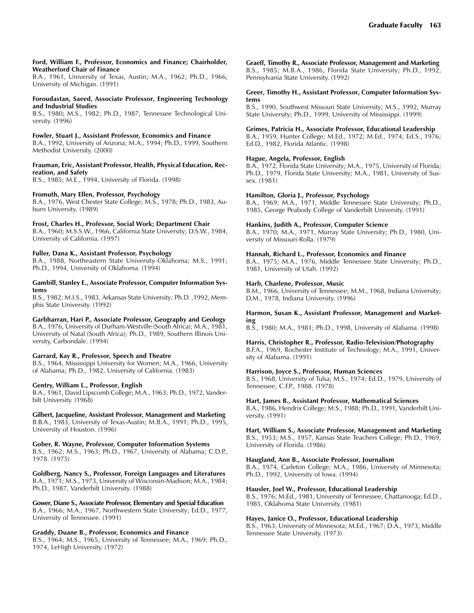#### Ford, William F., Professor, Economics and Finance; Chairholder, Weatherford Chair of Finance

B.A., 1961, University of Texas, Austin; M.A., 1962; Ph.D., 1966, University of Michigan. (1991)

## Foroudastan, Saeed, Associate Professor, Engineering Technology and Industrial Studies

B.S., 1980; M.S., 1982; Ph.D., 1987, Tennessee Technological University. (1996)

## Fowler, Stuart J., Assistant Professor, Economics and Finance

B.A., 1992, University of Arizona; M.A., 1994; Ph.D., 1999, Southern Methodist University. (2000)

#### Frauman, Eric, Assistant Professor, Health, Physical Education, Recreation, and Safety

B.S., 1985; M.E., 1994, University of Florida. (1998)

## Fromuth, Mary Ellen, Professor, Psychology

B.A., 1976, West Chester State College; M.S., 1978; Ph.D., 1983, Auburn University. (1989)

## Frost, Charles H., Professor, Social Work; Department Chair

B.A., 1960; M.S.S.W., 1966, California State University; D.S.W., 1984, University of California. (1997)

## Fuller, Dana K., Assistant Professor, Psychology

B.A., 1988, Northeastern State University-Oklahoma; M.S., 1991; Ph.D., 1994, University of Oklahoma. (1994)

#### Gambill, Stanley E., Associate Professor, Computer Information Systems

B.S., 1982; M.I.S., 1983, Arkansas State University; Ph.D. ,1992, Memphis State University. (1992)

## Garbharran, Hari P., Associate Professor, Geography and Geology

B.A., 1976, University of Durham-Westville (South Africa); M.A., 1981, University of Natal (South Africa); Ph.D., 1989, Southern Illinois University, Carbondale. (1994)

## Garrard, Kay R., Professor, Speech and Theatre

B.S., 1964, Mississippi University for Women; M.A., 1966, University of Alabama; Ph.D., 1982, University of California. (1983)

## Gentry, William L., Professor, English

University of Houston. (1996)

B.A., 1961, David Lipscomb College; M.A., 1963; Ph.D., 1972, Vanderbilt University. (1968)

Gilbert, Jacqueline, Assistant Professor, Management and Marketing B.B.A., 1983, University of Texas-Austin; M.B.A., 1991; Ph.D., 1995,

Gober, R. Wayne, Professor, Computer Information Systems B.S., 1962; M.S., 1963; Ph.D., 1967, University of Alabama; C.D.P., 1978. (1975)

Goldberg, Nancy S., Professor, Foreign Languages and Literatures B.A., 1971; M.S., 1973, University of Wisconsin-Madison; M.A., 1984; Ph.D., 1987, Vanderbilt University. (1988)

Gower, Diane S., Associate Professor, Elementary and Special Education B.A., 1966; M.A., 1967, Northwestern State University; Ed.D., 1977, University of Tennessee. (1991)

## Graddy, Duane B., Professor, Economics and Finance

B.S., 1964; M.S., 1965, University of Tennessee; M.A., 1969; Ph.D., 1974, LeHigh University. (1972)

Graeff, Timothy R., Associate Professor, Management and Marketing B.S., 1985; M.B.A., 1986, Florida State University; Ph.D., 1992, Pennsylvania State University. (1992)

#### Greer, Timothy H., Assistant Professor, Computer Information Systems

B.S., 1990, Southwest Missouri State University; M.S., 1992, Murray State University; Ph.D., 1999, University of Mississippi. (1999)

#### Grimes, Patricia H., Associate Professor, Educational Leadership

B.A., 1959, Hunter College; M.Ed., 1972; M.Ed., 1974; Ed.S., 1976; Ed.D., 1982, Florida Atlantic. (1998)

## Hague, Angela, Professor, English

B.A., 1972, Florida State University; M.A., 1975, University of Florida; Ph.D., 1979, Florida State University; M.A., 1981, University of Sussex. (1981)

#### Hamilton, Gloria J., Professor, Psychology

B.A., 1969; M.A., 1971, Middle Tennessee State University; Ph.D., 1985, George Peabody College of Vanderbilt University. (1991)

#### Hankins, Judith A., Professor, Computer Science

B.A., 1970; M.A., 1971, Murray State University; Ph.D., 1980, University of Missouri-Rolla. (1979)

## Hannah, Richard L., Professor, Economics and Finance

B.A., 1975; M.A., 1976, Middle Tennessee State University; Ph.D., 1981, University of Utah. (1992)

## Harb, Charlene, Professor, Music

B.M., 1966, University of Tennessee; M.M., 1968, Indiana University; D.M., 1978, Indiana University. (1996)

#### Harmon, Susan K., Assistant Professor, Management and Marketing

B.S., 1980; M.A., 1981; Ph.D., 1998, University of Alabama. (1998)

Harris, Christopher R., Professor, Radio-Television/Photography

B.F.A., 1969, Rochester Institute of Technology; M.A., 1991, University of Alabama. (1991)

## Harrison, Joyce S., Professor, Human Sciences

B.S., 1968, University of Tulsa; M.S., 1974; Ed.D., 1979, University of Tennessee; C.F.P., 1988. (1978)

## Hart, James B., Assistant Professor, Mathematical Sciences

B.A., 1986, Hendrix College; M.S., 1988; Ph.D., 1991, Vanderbilt University. (1991)

Hart, William S., Associate Professor, Management and Marketing B.S., 1953; M.S., 1957, Kansas State Teachers College; Ph.D., 1969, University of Florida. (1986)

## Haugland, Ann B., Associate Professor, Journalism

B.A., 1974, Carleton College; M.A., 1986, University of Minnesota; Ph.D., 1992, University of Iowa. (1994)

## Hausler, Joel W., Professor, Educational Leadership

B.S., 1976; M.Ed., 1981, University of Tennessee, Chattanooga; Ed.D., 1985, Oklahoma State University. (1981)

#### Hayes, Janice O., Professor, Educational Leadership

B.S., 1963, University of Minnesota; M.Ed., 1967; D.A., 1973, Middle Tennessee State University. (1973)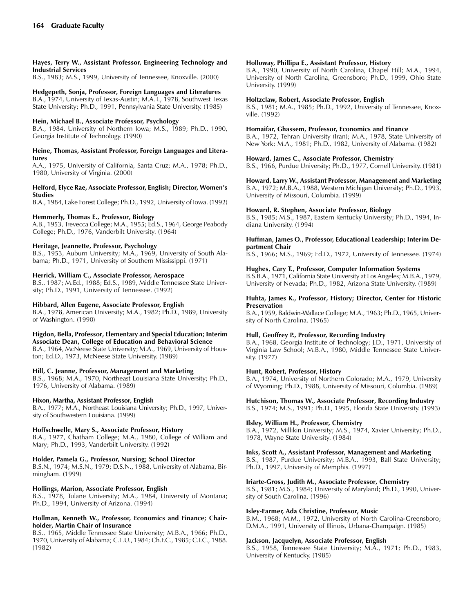#### Hayes, Terry W., Assistant Professor, Engineering Technology and Industrial Services

B.S., 1983; M.S., 1999, University of Tennessee, Knoxville. (2000)

## Hedgepeth, Sonja, Professor, Foreign Languages and Literatures

B.A., 1974, University of Texas-Austin; M.A.T., 1978, Southwest Texas State University; Ph.D., 1991, Pennsylvania State University. (1985)

#### Hein, Michael B., Associate Professor, Psychology

B.A., 1984, University of Northern Iowa; M.S., 1989; Ph.D., 1990, Georgia Institute of Technology. (1990)

#### Heine, Thomas, Assistant Professor, Foreign Languages and Literatures

A.A., 1975, University of California, Santa Cruz; M.A., 1978; Ph.D., 1980, University of Virginia. (2000)

#### Helford, Elyce Rae, Associate Professor, English; Director, Women's Studies

B.A., 1984, Lake Forest College; Ph.D., 1992, University of Iowa. (1992)

#### Hemmerly, Thomas E., Professor, Biology

A.B., 1953, Trevecca College; M.A., 1955; Ed.S., 1964, George Peabody College; Ph.D., 1976, Vanderbilt University. (1964)

#### Heritage, Jeannette, Professor, Psychology

B.S., 1953, Auburn University; M.A., 1969, University of South Alabama; Ph.D., 1971, University of Southern Mississippi. (1971)

## Herrick, William C., Associate Professor, Aerospace

B.S., 1987; M.Ed., 1988; Ed.S., 1989, Middle Tennessee State University; Ph.D., 1991, University of Tennessee. (1992)

#### Hibbard, Allen Eugene, Associate Professor, English

B.A., 1978, American University; M.A., 1982; Ph.D., 1989, University of Washington. (1990)

## Higdon, Bella, Professor, Elementary and Special Education; Interim

Associate Dean, College of Education and Behavioral Science B.A., 1964, McNeese State University; M.A., 1969, University of Houston; Ed.D., 1973, McNeese State University. (1989)

## Hill, C. Jeanne, Professor, Management and Marketing

B.S., 1968; M.A., 1970, Northeast Louisiana State University; Ph.D., 1976, University of Alabama. (1989)

## Hixon, Martha, Assistant Professor, English

B.A., 1977; M.A., Northeast Louisiana University; Ph.D., 1997, University of Southwestern Louisiana. (1999)

#### Hoffschwelle, Mary S., Associate Professor, History

B.A., 1977, Chatham College; M.A., 1980, College of William and Mary; Ph.D., 1993, Vanderbilt University. (1992)

## Holder, Pamela G., Professor, Nursing; School Director

B.S.N., 1974; M.S.N., 1979; D.S.N., 1988, University of Alabama, Birmingham. (1999)

#### Hollings, Marion, Associate Professor, English

B.S., 1978, Tulane University; M.A., 1984, University of Montana; Ph.D., 1994, University of Arizona. (1994)

#### Hollman, Kenneth W., Professor, Economics and Finance; Chairholder, Martin Chair of Insurance

B.S., 1965, Middle Tennessee State University; M.B.A., 1966; Ph.D., 1970, University of Alabama; C.L.U., 1984; Ch.F.C., 1985; C.I.C., 1988. (1982)

#### Holloway, Phillipa E., Assistant Professor, History

B.A., 1990, University of North Carolina, Chapel Hill; M.A., 1994, University of North Carolina, Greensboro; Ph.D., 1999, Ohio State University. (1999)

#### Holtzclaw, Robert, Associate Professor, English

B.S., 1981; M.A., 1985; Ph.D., 1992, University of Tennessee, Knoxville. (1992)

#### Homaifar, Ghassem, Professor, Economics and Finance

B.A., 1972, Tehran University (Iran); M.A., 1978, State University of New York; M.A., 1981; Ph.D., 1982, University of Alabama. (1982)

#### Howard, James C., Associate Professor, Chemistry

B.S., 1966, Purdue University; Ph.D., 1977, Cornell University. (1981)

#### Howard, Larry W., Assistant Professor, Management and Marketing

B.A., 1972; M.B.A., 1988, Western Michigan University; Ph.D., 1993, University of Missouri, Columbia. (1999)

#### Howard, R. Stephen, Associate Professor, Biology

B.S., 1985; M.S., 1987, Eastern Kentucky University; Ph.D., 1994, Indiana University. (1994)

#### Huffman, James O., Professor, Educational Leadership; Interim Department Chair

B.S., 1966; M.S., 1969; Ed.D., 1972, University of Tennessee. (1974)

## Hughes, Cary T., Professor, Computer Information Systems

B.S.B.A., 1971, California State University at Los Angeles; M.B.A., 1979, University of Nevada; Ph.D., 1982, Arizona State University. (1989)

#### Huhta, James K., Professor, History; Director, Center for Historic Preservation

B.A., 1959, Baldwin-Wallace College; M.A., 1963; Ph.D., 1965, University of North Carolina. (1965)

#### Hull, Geoffrey P., Professor, Recording Industry

B.A., 1968, Georgia Institute of Technology; J.D., 1971, University of Virginia Law School; M.B.A., 1980, Middle Tennessee State University. (1977)

#### Hunt, Robert, Professor, History

B.A., 1974, University of Northern Colorado; M.A., 1979, University of Wyoming; Ph.D., 1988, University of Missouri, Columbia. (1989)

## Hutchison, Thomas W., Associate Professor, Recording Industry

B.S., 1974; M.S., 1991; Ph.D., 1995, Florida State University. (1993)

#### Ilsley, William H., Professor, Chemistry

B.A., 1972, Millikin University; M.S., 1974, Xavier University; Ph.D., 1978, Wayne State University. (1984)

#### Inks, Scott A., Assistant Professor, Management and Marketing

B.S., 1987, Purdue University; M.B.A., 1993, Ball State University; Ph.D., 1997, University of Memphis. (1997)

## Iriarte-Gross, Judith M., Associate Professor, Chemistry

B.S., 1981; M.S., 1984; University of Maryland; Ph.D., 1990, University of South Carolina. (1996)

#### Isley-Farmer, Ada Christine, Professor, Music

B.M., 1968; M.M., 1972, University of North Carolina-Greensboro; D.M.A., 1991, University of Illinois, Urbana-Champaign. (1985)

#### Jackson, Jacquelyn, Associate Professor, English

B.S., 1958, Tennessee State University; M.A., 1971; Ph.D., 1983, University of Kentucky. (1985)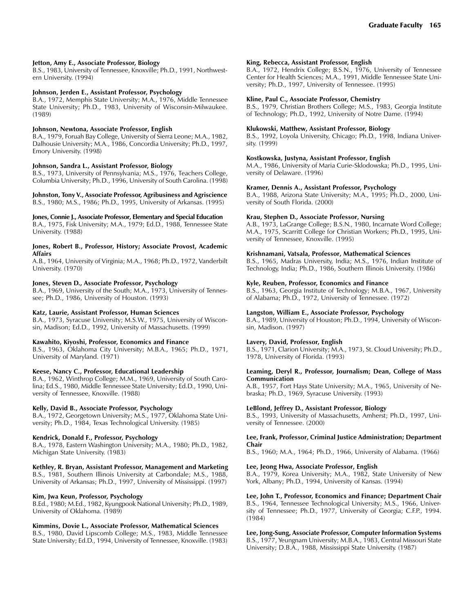#### Jetton, Amy E., Associate Professor, Biology

B.S., 1983, University of Tennessee, Knoxville; Ph.D., 1991, Northwestern University. (1994)

#### Johnson, Jerden E., Assistant Professor, Psychology

B.A., 1972, Memphis State University; M.A., 1976, Middle Tennessee State University; Ph.D., 1983, University of Wisconsin-Milwaukee. (1989)

#### Johnson, Newtona, Associate Professor, English

B.A., 1979, Foruah Bay College, University of Sierra Leone; M.A., 1982, Dalhousie University; M.A., 1986, Concordia University; Ph.D., 1997, Emory University. (1998)

#### Johnson, Sandra L., Assistant Professor, Biology

B.S., 1973, University of Pennsylvania; M.S., 1976, Teachers College, Columbia University; Ph.D., 1996, University of South Carolina. (1998)

Johnston, Tony V., Associate Professor, Agribusiness and Agriscience B.S., 1980; M.S., 1986; Ph.D., 1995, University of Arkansas. (1995)

## Jones, Connie J., Associate Professor, Elementary and Special Education

B.A., 1975, Fisk University; M.A., 1979; Ed.D., 1988, Tennessee State University. (1988)

#### Jones, Robert B., Professor, History; Associate Provost, Academic Affairs

A.B., 1964, University of Virginia; M.A., 1968; Ph.D., 1972, Vanderbilt University. (1970)

#### Jones, Steven D., Associate Professor, Psychology

B.A., 1969, University of the South; M.A., 1973, University of Tennessee; Ph.D., 1986, University of Houston. (1993)

#### Katz, Laurie, Assistant Professor, Human Sciences

B.A., 1973, Syracuse University; M.S.W., 1975, University of Wisconsin, Madison; Ed.D., 1992, University of Massachusetts. (1999)

#### Kawahito, Kiyoshi, Professor, Economics and Finance

B.S., 1963, Oklahoma City University; M.B.A., 1965; Ph.D., 1971, University of Maryland. (1971)

#### Keese, Nancy C., Professor, Educational Leadership

B.A., 1962, Winthrop College; M.M., 1969, University of South Carolina; Ed.S., 1980, Middle Tennessee State University; Ed.D., 1990, University of Tennessee, Knoxville. (1988)

#### Kelly, David B., Associate Professor, Psychology

B.A., 1972, Georgetown University; M.S., 1977, Oklahoma State University; Ph.D., 1984, Texas Technological University. (1985)

#### Kendrick, Donald F., Professor, Psychology

B.A., 1978, Eastern Washington University; M.A., 1980; Ph.D., 1982, Michigan State University. (1983)

#### Kethley, R. Bryan, Assistant Professor, Management and Marketing

B.S., 1981, Southern Illinois University at Carbondale; M.S., 1988, University of Arkansas; Ph.D., 1997, University of Mississippi. (1997)

#### Kim, Jwa Keun, Professor, Psychology

B.Ed., 1980; M.Ed., 1982, Kyungpook National University; Ph.D., 1989, University of Oklahoma. (1989)

#### Kimmins, Dovie L., Associate Professor, Mathematical Sciences

B.S., 1980, David Lipscomb College; M.S., 1983, Middle Tennessee State University; Ed.D., 1994, University of Tennessee, Knoxville. (1983)

#### King, Rebecca, Assistant Professor, English

B.A., 1972, Hendrix College; B.S.N., 1976, University of Tennessee Center for Health Sciences; M.A., 1991, Middle Tennessee State University; Ph.D., 1997, University of Tennessee. (1995)

#### Kline, Paul C., Associate Professor, Chemistry

B.S., 1979, Christian Brothers College; M.S., 1983, Georgia Institute of Technology; Ph.D., 1992, University of Notre Dame. (1994)

#### Klukowski, Matthew, Assistant Professor, Biology

B.S., 1992, Loyola University, Chicago; Ph.D., 1998, Indiana University. (1999)

#### Kostkowska, Justyna, Assistant Professor, English

M.A., 1986, University of Maria Curie-Sklodowska; Ph.D., 1995, University of Delaware. (1996)

#### Kramer, Dennis A., Assistant Professor, Psychology

B.A., 1988, Arizona State University; M.A., 1995; Ph.D., 2000, University of South Florida. (2000)

#### Krau, Stephen D., Associate Professor, Nursing

A.B., 1973, LaGrange College; B.S.N., 1980, Incarnate Word College; M.A., 1975, Scarritt College for Christian Workers; Ph.D., 1995, University of Tennessee, Knoxville. (1995)

#### Krishnamani, Vatsala, Professor, Mathematical Sciences

B.S., 1965, Madras University, India; M.S., 1976, Indian Institute of Technology, India; Ph.D., 1986, Southern Illinois University. (1986)

#### Kyle, Reuben, Professor, Economics and Finance

B.S., 1963, Georgia Institute of Technology; M.B.A., 1967, University of Alabama; Ph.D., 1972, University of Tennessee. (1972)

#### Langston, William E., Associate Professor, Psychology

B.A., 1989, University of Houston; Ph.D., 1994, University of Wisconsin, Madison. (1997)

## Lavery, David, Professor, English

B.S., 1971, Clarion University; M.A., 1973, St. Cloud University; Ph.D., 1978, University of Florida. (1993)

#### Leaming, Deryl R., Professor, Journalism; Dean, College of Mass Communication

A.B., 1957, Fort Hays State University; M.A., 1965, University of Nebraska; Ph.D., 1969, Syracuse University. (1993)

#### LeBlond, Jeffrey D., Assistant Professor, Biology

B.S., 1993, University of Massachusetts, Amherst; Ph.D., 1997, University of Tennessee. (2000)

#### Lee, Frank, Professor, Criminal Justice Administration; Department Chair

B.S., 1960; M.A., 1964; Ph.D., 1966, University of Alabama. (1966)

#### Lee, Jeong Hwa, Associate Professor, English

B.A., 1979, Korea University; M.A., 1982, State University of New York, Albany; Ph.D., 1994, University of Kansas. (1994)

## Lee, John T., Professor, Economics and Finance; Department Chair

B.S., 1964, Tennessee Technological University; M.S., 1966, University of Tennessee; Ph.D., 1977, University of Georgia; C.F.P., 1994. (1984)

Lee, Jong-Sung, Associate Professor, Computer Information Systems B.S., 1977, Yeungnam University; M.B.A., 1983, Central Missouri State University; D.B.A., 1988, Mississippi State University. (1987)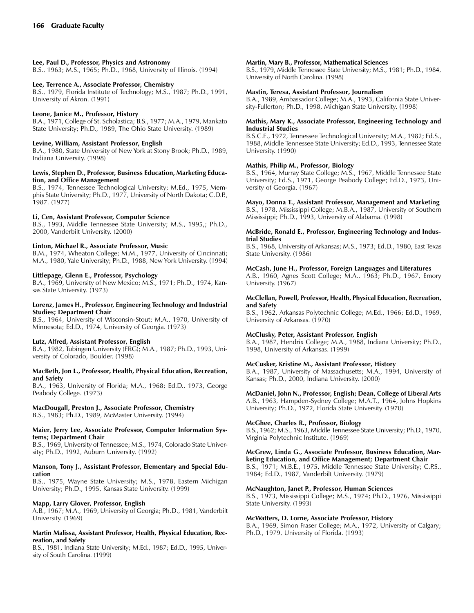#### Lee, Paul D., Professor, Physics and Astronomy

B.S., 1963; M.S., 1965; Ph.D., 1968, University of Illinois. (1994)

## Lee, Terrence A., Associate Professor, Chemistry

B.S., 1979, Florida Institute of Technology; M.S., 1987; Ph.D., 1991, University of Akron. (1991)

#### Leone, Janice M., Professor, History

B.A., 1971, College of St. Scholastica; B.S., 1977; M.A., 1979, Mankato State University; Ph.D., 1989, The Ohio State University. (1989)

#### Levine, William, Assistant Professor, English

B.A., 1980, State University of New York at Stony Brook; Ph.D., 1989, Indiana University. (1998)

#### Lewis, Stephen D., Professor, Business Education, Marketing Education, and Office Management

B.S., 1974, Tennessee Technological University; M.Ed., 1975, Memphis State University; Ph.D., 1977, University of North Dakota; C.D.P., 1987. (1977)

#### Li, Cen, Assistant Professor, Computer Science

B.S., 1993, Middle Tennessee State University; M.S., 1995,; Ph.D., 2000, Vanderbilt University. (2000)

#### Linton, Michael R., Associate Professor, Music

B.M., 1974, Wheaton College; M.M., 1977, University of Cincinnati; M.A., 1980, Yale University; Ph.D., 1988, New York University. (1994)

#### Littlepage, Glenn E., Professor, Psychology

B.A., 1969, University of New Mexico; M.S., 1971; Ph.D., 1974, Kansas State University. (1973)

#### Lorenz, James H., Professor, Engineering Technology and Industrial Studies; Department Chair

B.S., 1964, University of Wisconsin-Stout; M.A., 1970, University of Minnesota; Ed.D., 1974, University of Georgia. (1973)

#### Lutz, Alfred, Assistant Professor, English

B.A., 1982, Tubingen University (FRG); M.A., 1987; Ph.D., 1993, University of Colorado, Boulder. (1998)

#### MacBeth, Jon L., Professor, Health, Physical Education, Recreation, and Safety

B.A., 1963, University of Florida; M.A., 1968; Ed.D., 1973, George Peabody College. (1973)

# MacDougall, Preston J., Associate Professor, Chemistry

B.S., 1983; Ph.D., 1989, McMaster University. (1994)

#### Maier, Jerry Lee, Associate Professor, Computer Information Systems; Department Chair

B.S., 1969, University of Tennessee; M.S., 1974, Colorado State University; Ph.D., 1992, Auburn University. (1992)

#### Manson, Tony J., Assistant Professor, Elementary and Special Education

B.S., 1975, Wayne State University; M.S., 1978, Eastern Michigan University; Ph.D., 1995, Kansas State University. (1999)

## Mapp, Larry Glover, Professor, English

A.B., 1967; M.A., 1969, University of Georgia; Ph.D., 1981, Vanderbilt University. (1969)

## Martin Malissa, Assistant Professor, Health, Physical Education, Recreation, and Safety

B.S., 1981, Indiana State University; M.Ed., 1987; Ed.D., 1995, University of South Carolina. (1999)

## Martin, Mary B., Professor, Mathematical Sciences

B.S., 1979, Middle Tennessee State University; M.S., 1981; Ph.D., 1984, University of North Carolina. (1998)

## Mastin, Teresa, Assistant Professor, Journalism

B.A., 1989, Ambassador College; M.A., 1993, California State University-Fullerton; Ph.D., 1998, Michigan State University. (1998)

## Mathis, Mary K., Associate Professor, Engineering Technology and Industrial Studies

B.S.C.E., 1972, Tennessee Technological University; M.A., 1982; Ed.S., 1988, Middle Tennessee State University; Ed.D., 1993, Tennessee State University. (1990)

## Mathis, Philip M., Professor, Biology

B.S., 1964, Murray State College; M.S., 1967, Middle Tennessee State University; Ed.S., 1971, George Peabody College; Ed.D., 1973, University of Georgia. (1967)

Mayo, Donna T., Assistant Professor, Management and Marketing B.S., 1978, Mississippi College; M.B.A., 1987, University of Southern

Mississippi; Ph.D., 1993, University of Alabama. (1998)

## McBride, Ronald E., Professor, Engineering Technology and Industrial Studies

B.S., 1968, University of Arkansas; M.S., 1973; Ed.D., 1980, East Texas State University. (1986)

## McCash, June H., Professor, Foreign Languages and Literatures

A.B., 1960, Agnes Scott College; M.A., 1963; Ph.D., 1967, Emory University. (1967)

## McClellan, Powell, Professor, Health, Physical Education, Recreation, and Safety

B.S., 1962, Arkansas Polytechnic College; M.Ed., 1966; Ed.D., 1969, University of Arkansas. (1970)

## McClusky, Peter, Assistant Professor, English

B.A., 1987, Hendrix College; M.A., 1988, Indiana University; Ph.D., 1998, University of Arkansas. (1999)

## McCusker, Kristine M., Assistant Professor, History

B.A., 1987, University of Massachusetts; M.A., 1994, University of Kansas; Ph.D., 2000, Indiana University. (2000)

## McDaniel, John N., Professor, English; Dean, College of Liberal Arts

A.B., 1963, Hampden-Sydney College; M.A.T., 1964, Johns Hopkins University; Ph.D., 1972, Florida State University. (1970)

## McGhee, Charles R., Professor, Biology

B.S., 1962; M.S., 1963, Middle Tennessee State University; Ph.D., 1970, Virginia Polytechnic Institute. (1969)

# McGrew, Linda G., Associate Professor, Business Education, Mar-

keting Education, and Office Management; Department Chair B.S., 1971; M.B.E., 1975, Middle Tennessee State University; C.P.S., 1984; Ed.D., 1987, Vanderbilt University. (1979)

## McNaughton, Janet P., Professor, Human Sciences

B.S., 1973, Mississippi College; M.S., 1974; Ph.D., 1976, Mississippi State University. (1993)

## McWatters, D. Lorne, Associate Professor, History

B.A., 1969, Simon Fraser College; M.A., 1972, University of Calgary; Ph.D., 1979, University of Florida. (1993)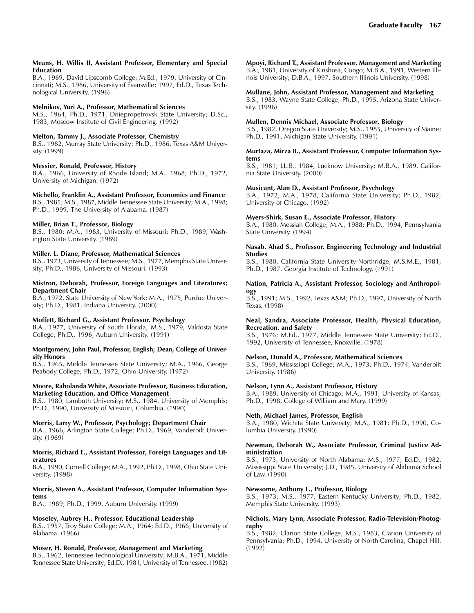#### Means, H. Willis II, Assistant Professor, Elementary and Special Education

B.A., 1969, David Lipscomb College; M.Ed., 1979, University of Cincinnati; M.S., 1986, University of Evansville; 1997, Ed.D., Texas Technological University. (1996)

## Melnikov, Yuri A., Professor, Mathematical Sciences

M.S., 1964; Ph.D., 1971, Dniepropetrovsk State University; D.Sc., 1983, Moscow Institute of Civil Engineering. (1992)

#### Melton, Tammy J., Associate Professor, Chemistry

B.S., 1982, Murray State University; Ph.D., 1986, Texas A&M University. (1999)

#### Messier, Ronald, Professor, History

B.A., 1966, University of Rhode Island; M.A., 1968; Ph.D., 1972, University of Michigan. (1972)

#### Michello, Franklin A., Assistant Professor, Economics and Finance

B.S., 1985; M.S., 1987, Middle Tennessee State University; M.A., 1998; Ph.D., 1999, The University of Alabama. (1987)

#### Miller, Brian T., Professor, Biology

B.S., 1980; M.A., 1983, University of Missouri; Ph.D., 1989, Washington State University. (1989)

#### Miller, L. Diane, Professor, Mathematical Sciences

B.S., 1973, University of Tennessee; M.S., 1977, Memphis State University; Ph.D., 1986, University of Missouri. (1993)

#### Mistron, Deborah, Professor, Foreign Languages and Literatures; Department Chair

B.A., 1972, State University of New York; M.A., 1975, Purdue University; Ph.D., 1981, Indiana University. (2000)

## Moffett, Richard G., Assistant Professor, Psychology

B.A., 1977, University of South Florida; M.S., 1979, Valdosta State College; Ph.D., 1996, Auburn University. (1991)

#### Montgomery, John Paul, Professor, English; Dean, College of University Honors

B.S., 1965, Middle Tennessee State University; M.A., 1966, George Peabody College; Ph.D., 1972, Ohio University. (1972)

#### Moore, Raholanda White, Associate Professor, Business Education, Marketing Education, and Office Management

B.S., 1980, Lambuth University; M.S., 1984, University of Memphis; Ph.D., 1990, University of Missouri, Columbia. (1990)

## Morris, Larry W., Professor, Psychology; Department Chair

B.A., 1966, Arlington State College; Ph.D., 1969, Vanderbilt University. (1969)

#### Morris, Richard E., Assistant Professor, Foreign Languages and Literatures

B.A., 1990, Cornell College; M.A., 1992, Ph.D., 1998, Ohio State University. (1998)

#### Morris, Steven A., Assistant Professor, Computer Information Systems

B.A., 1989; Ph.D., 1999, Auburn University. (1999)

## Moseley, Aubrey H., Professor, Educational Leadership

B.S., 1957, Troy State College; M.A., 1964; Ed.D., 1966, University of Alabama. (1966)

## Moser, H. Ronald, Professor, Management and Marketing

B.S., 1962, Tennessee Technological University; M.B.A., 1971, Middle Tennessee State University; Ed.D., 1981, University of Tennessee. (1982)

# Mpoyi, Richard T., Assistant Professor, Management and Marketing

B.A., 1981, University of Kinshosa, Congo; M.B.A., 1991, Western Illinois University; D.B.A., 1997, Southern Illinois University. (1998)

## Mullane, John, Assistant Professor, Management and Marketing

B.S., 1983, Wayne State College; Ph.D., 1995, Arizona State University. (1996)

#### Mullen, Dennis Michael, Associate Professor, Biology

B.S., 1982, Oregon State University; M.S., 1985, University of Maine; Ph.D., 1991, Michigan State University. (1991)

#### Murtaza, Mirza B., Assistant Professor, Computer Information Systems

B.S., 1981; LL.B., 1984, Lucknow University; M.B.A., 1989, California State University. (2000)

#### Musicant, Alan D., Assistant Professor, Psychology

B.A., 1972; M.A., 1978, California State University; Ph.D., 1982, University of Chicago. (1992)

## Myers-Shirk, Susan E., Associate Professor, History

B.A., 1980, Messiah College; M.A., 1988; Ph.D., 1994, Pennsylvania State University. (1994)

#### Nasab, Ahad S., Professor, Engineering Technology and Industrial **Studies**

B.S., 1980, California State University-Northridge; M.S.M.E., 1981; Ph.D., 1987, Georgia Institute of Technology. (1991)

## Nation, Patricia A., Assistant Professor, Sociology and Anthropology

B.S., 1991; M.S., 1992, Texas A&M; Ph.D., 1997, University of North Texas. (1998)

#### Neal, Sandra, Associate Professor, Health, Physical Education, Recreation, and Safety

B.S., 1976; M.Ed., 1977, Middle Tennessee State University; Ed.D., 1992, University of Tennessee, Knoxville. (1978)

#### Nelson, Donald A., Professor, Mathematical Sciences

B.S., 1969, Mississippi College; M.A., 1973; Ph.D., 1974, Vanderbilt University. (1986)

## Nelson, Lynn A., Assistant Professor, History

B.A., 1989, University of Chicago; M.A., 1991, University of Kansas; Ph.D., 1998, College of William and Mary. (1999)

## Neth, Michael James, Professor, English

B.A., 1980, Wichita State University; M.A., 1981; Ph.D., 1990, Columbia University. (1990)

#### Newman, Deborah W., Associate Professor, Criminal Justice Administration

B.S., 1973, University of North Alabama; M.S., 1977; Ed.D., 1982, Mississippi State University; J.D., 1985, University of Alabama School of Law. (1990)

#### Newsome, Anthony L., Professor, Biology

B.S., 1973; M.S., 1977, Eastern Kentucky University; Ph.D., 1982, Memphis State University. (1993)

#### Nichols, Mary Lynn, Associate Professor, Radio-Television/Photography

B.S., 1982, Clarion State College; M.S., 1983, Clarion University of Pennsylvania; Ph.D., 1994, University of North Carolina, Chapel Hill. (1992)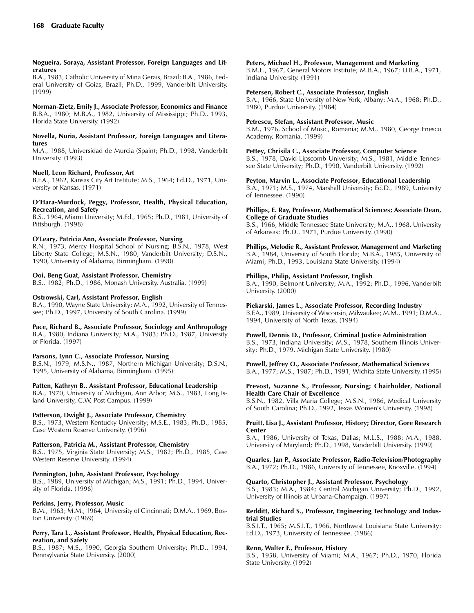#### Nogueira, Soraya, Assistant Professor, Foreign Languages and Literatures

B.A., 1983, Catholic University of Mina Gerais, Brazil; B.A., 1986, Federal University of Goias, Brazil; Ph.D., 1999, Vanderbilt University. (1999)

## Norman-Zietz, Emily J., Associate Professor, Economics and Finance

B.B.A., 1980; M.B.A., 1982, University of Mississippi; Ph.D., 1993, Florida State University. (1992)

#### Novella, Nuria, Assistant Professor, Foreign Languages and Literatures

M.A., 1988, Universidad de Murcia (Spain); Ph.D., 1998, Vanderbilt University. (1993)

## Nuell, Leon Richard, Professor, Art

B.F.A., 1962, Kansas City Art Institute; M.S., 1964; Ed.D., 1971, University of Kansas. (1971)

## OHara-Murdock, Peggy, Professor, Health, Physical Education, Recreation, and Safety

B.S., 1964, Miami University; M.Ed., 1965; Ph.D., 1981, University of Pittsburgh. (1998)

## O'Leary, Patricia Ann, Associate Professor, Nursing

R.N., 1973, Mercy Hospital School of Nursing; B.S.N., 1978, West Liberty State College; M.S.N., 1980, Vanderbilt University; D.S.N., 1990, University of Alabama, Birmingham. (1990)

## Ooi, Beng Guat, Assistant Professor, Chemistry

B.S., 1982; Ph.D., 1986, Monash University, Australia. (1999)

## Ostrowski, Carl, Assistant Professor, English

B.A., 1990, Wayne State University; M.A., 1992, University of Tennessee; Ph.D., 1997, University of South Carolina. (1999)

## Pace, Richard B., Associate Professor, Sociology and Anthropology

B.A., 1980, Indiana University; M.A., 1983; Ph.D., 1987, University of Florida. (1997)

## Parsons, Lynn C., Associate Professor, Nursing

B.S.N., 1979; M.S.N., 1987, Northern Michigan University; D.S.N., 1995, University of Alabama, Birmingham. (1995)

## Patten, Kathryn B., Assistant Professor, Educational Leadership

B.A., 1970, University of Michigan, Ann Arbor; M.S., 1983, Long Island University, C.W. Post Campus. (1999)

## Patterson, Dwight J., Associate Professor, Chemistry

B.S., 1973, Western Kentucky University; M.S.E., 1983; Ph.D., 1985, Case Western Reserve University. (1996)

## Patterson, Patricia M., Assistant Professor, Chemistry

B.S., 1975, Virginia State University; M.S., 1982; Ph.D., 1985, Case Western Reserve University. (1994)

## Pennington, John, Assistant Professor, Psychology

B.S., 1989, University of Michigan; M.S., 1991; Ph.D., 1994, University of Florida. (1996)

## Perkins, Jerry, Professor, Music

B.M., 1963; M.M., 1964, University of Cincinnati; D.M.A., 1969, Boston University. (1969)

#### Perry, Tara L., Assistant Professor, Health, Physical Education, Recreation, and Safety

B.S., 1987; M.S., 1990, Georgia Southern University; Ph.D., 1994, Pennsylvania State University. (2000)

## Peters, Michael H., Professor, Management and Marketing

B.M.E., 1967, General Motors Institute; M.B.A., 1967; D.B.A., 1971, Indiana University. (1991)

## Petersen, Robert C., Associate Professor, English

B.A., 1966, State University of New York, Albany; M.A., 1968; Ph.D., 1980, Purdue University. (1984)

## Petrescu, Stefan, Assistant Professor, Music

B.M., 1976, School of Music, Romania; M.M., 1980, George Enescu Academy, Romania. (1999)

## Pettey, Chrisila C., Associate Professor, Computer Science

B.S., 1978, David Lipscomb University; M.S., 1981, Middle Tennessee State University; Ph.D., 1990, Vanderbilt University. (1992)

## Peyton, Marvin L., Associate Professor, Educational Leadership

B.A., 1971; M.S., 1974, Marshall University; Ed.D., 1989, University of Tennessee. (1990)

#### Phillips, E. Ray, Professor, Mathematical Sciences; Associate Dean, College of Graduate Studies

B.S., 1966, Middle Tennessee State University; M.A., 1968, University of Arkansas; Ph.D., 1971, Purdue University. (1990)

## Phillips, Melodie R., Assistant Professor, Management and Marketing

B.A., 1984, University of South Florida; M.B.A., 1985, University of Miami; Ph.D., 1993, Louisiana State University. (1994)

## Phillips, Philip, Assistant Professor, English

B.A., 1990, Belmont University; M.A., 1992; Ph.D., 1996, Vanderbilt University. (2000)

Piekarski, James L., Associate Professor, Recording Industry

B.F.A., 1989, University of Wisconsin, Milwaukee; M.M., 1991; D.M.A., 1994, University of North Texas. (1994)

## Powell, Dennis D., Professor, Criminal Justice Administration

B.S., 1973, Indiana University; M.S., 1978, Southern Illinois University; Ph.D., 1979, Michigan State University. (1980)

## Powell, Jeffrey O., Associate Professor, Mathematical Sciences B.A., 1977; M.S., 1987; Ph.D., 1991, Wichita State University. (1995)

#### Prevost, Suzanne S., Professor, Nursing; Chairholder, National Health Care Chair of Excellence

B.S.N., 1982, Villa Maria College; M.S.N., 1986, Medical University of South Carolina; Ph.D., 1992, Texas Women's University. (1998)

#### Pruitt, Lisa J., Assistant Professor, History; Director, Gore Research Center

B.A., 1986, University of Texas, Dallas; M.L.S., 1988; M.A., 1988, University of Maryland; Ph.D., 1998, Vanderbilt University. (1999)

Quarles, Jan P., Associate Professor, Radio-Television/Photography B.A., 1972; Ph.D., 1986, University of Tennessee, Knoxville. (1994)

## Quarto, Christopher J., Assistant Professor, Psychology

B.S., 1983; M.A., 1984; Central Michigan University; Ph.D., 1992, University of Illinois at Urbana-Champaign. (1997)

#### Redditt, Richard S., Professor, Engineering Technology and Industrial Studies

B.S.I.T., 1965; M.S.I.T., 1966, Northwest Louisiana State University; Ed.D., 1973, University of Tennessee. (1986)

## Renn, Walter F., Professor, History

B.S., 1958, University of Miami; M.A., 1967; Ph.D., 1970, Florida State University. (1992)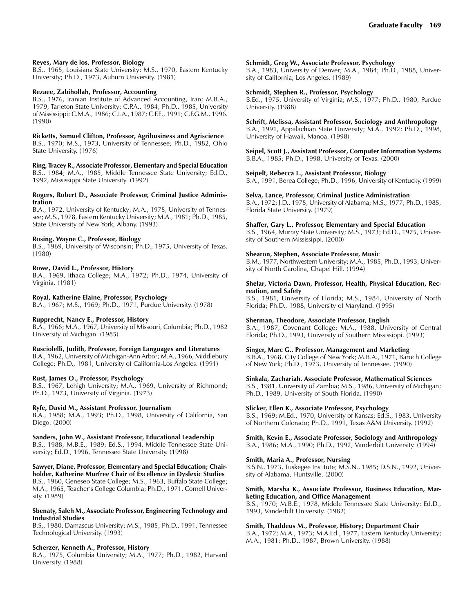## Reyes, Mary de los, Professor, Biology

B.S., 1965, Louisiana State University; M.S., 1970, Eastern Kentucky University; Ph.D., 1973, Auburn University. (1981)

## Rezaee, Zabihollah, Professor, Accounting

B.S., 1976, Iranian Institute of Advanced Accounting, Iran; M.B.A., 1979, Tarleton State University; C.P.A., 1984; Ph.D., 1985, University of Mississippi; C.M.A., 1986; C.I.A., 1987; C.F.E., 1991; C.F.G.M., 1996. (1990)

## Ricketts, Samuel Clifton, Professor, Agribusiness and Agriscience

B.S., 1970; M.S., 1973, University of Tennessee; Ph.D., 1982, Ohio State University. (1976)

Ring, Tracey R., Associate Professor, Elementary and Special Education B.S., 1984; M.A., 1985, Middle Tennessee State University; Ed.D., 1992, Mississippi State University. (1992)

#### Rogers, Robert D., Associate Professor, Criminal Justice Administration

B.A., 1972, University of Kentucky; M.A., 1975, University of Tennessee; M.S., 1978, Eastern Kentucky University; M.A., 1981; Ph.D., 1985, State University of New York, Albany. (1993)

## Rosing, Wayne C., Professor, Biology

B.S., 1969, University of Wisconsin; Ph.D., 1975, University of Texas. (1980)

## Rowe, David L., Professor, History

B.A., 1969, Ithaca College; M.A., 1972; Ph.D., 1974, University of Virginia. (1981)

## Royal, Katherine Elaine, Professor, Psychology

B.A., 1967; M.S., 1969; Ph.D., 1971, Purdue University. (1978)

## Rupprecht, Nancy E., Professor, History

B.A., 1966; M.A., 1967, University of Missouri, Columbia; Ph.D., 1982 University of Michigan. (1985)

## Rusciolelli, Judith, Professor, Foreign Languages and Literatures

B.A., 1962, University of Michigan-Ann Arbor; M.A., 1966, Middlebury College; Ph.D., 1981, University of California-Los Angeles. (1991)

## Rust, James O., Professor, Psychology

B.S., 1967, Lehigh University; M.A., 1969, University of Richmond; Ph.D., 1973, University of Virginia. (1973)

## Ryfe, David M., Assistant Professor, Journalism

B.A., 1988; M.A., 1993; Ph.D., 1998, University of California, San Diego. (2000)

## Sanders, John W., Assistant Professor, Educational Leadership

B.S., 1988; M.B.E., 1989; Ed.S., 1994, Middle Tennessee State University; Ed.D., 1996, Tennessee State University. (1998)

Sawyer, Diane, Professor, Elementary and Special Education; Chairholder, Katherine Murfree Chair of Excellence in Dyslexic Studies B.S., 1960, Geneseo State College; M.S., 1963, Buffalo State College; M.A., 1965, Teacher's College Columbia; Ph.D., 1971, Cornell University. (1989)

#### Sbenaty, Saleh M., Associate Professor, Engineering Technology and Industrial Studies

B.S., 1980, Damascus University; M.S., 1985; Ph.D., 1991, Tennessee Technological University. (1993)

## Scherzer, Kenneth A., Professor, History

B.A., 1975, Columbia University; M.A., 1977; Ph.D., 1982, Harvard University. (1988)

#### Schmidt, Greg W., Associate Professor, Psychology

B.A., 1983, University of Denver; M.A., 1984; Ph.D., 1988, University of California, Los Angeles. (1989)

#### Schmidt, Stephen R., Professor, Psychology

B.Ed., 1975, University of Virginia; M.S., 1977; Ph.D., 1980, Purdue University. (1988)

## Schrift, Melissa, Assistant Professor, Sociology and Anthropology

B.A., 1991, Appalachian State University; M.A., 1992; Ph.D., 1998, University of Hawaii, Manoa. (1998)

Seipel, Scott J., Assistant Professor, Computer Information Systems B.B.A., 1985; Ph.D., 1998, University of Texas. (2000)

## Seipelt, Rebecca L., Assistant Professor, Biology

B.A., 1991, Berea College; Ph.D., 1996, University of Kentucky. (1999)

#### Selva, Lance, Professor, Criminal Justice Administration

B.A., 1972; J.D., 1975, University of Alabama; M.S., 1977; Ph.D., 1985, Florida State University. (1979)

#### Shaffer, Gary L., Professor, Elementary and Special Education

B.S., 1964, Murray State University; M.S., 1973; Ed.D., 1975, University of Southern Mississippi. (2000)

## Shearon, Stephen, Associate Professor, Music

B.M., 1977, Northwestern University; M.A., 1985; Ph.D., 1993, University of North Carolina, Chapel Hill. (1994)

#### Shelar, Victoria Dawn, Professor, Health, Physical Education, Recreation, and Safety

B.S., 1981, University of Florida; M.S., 1984, University of North Florida; Ph.D., 1988, University of Maryland. (1995)

## Sherman, Theodore, Associate Professor, English

B.A., 1987, Covenant College; M.A., 1988, University of Central Florida; Ph.D., 1993, University of Southern Mississippi. (1993)

## Singer, Marc G., Professor, Management and Marketing

B.B.A., 1968, City College of New York; M.B.A., 1971, Baruch College of New York; Ph.D., 1973, University of Tennessee. (1990)

#### Sinkala, Zachariah, Associate Professor, Mathematical Sciences

B.S., 1981, University of Zambia; M.S., 1986, University of Michigan; Ph.D., 1989, University of South Florida. (1990)

## Slicker, Ellen K., Associate Professor, Psychology

B.S., 1969; M.Ed., 1970, University of Kansas; Ed.S., 1983, University of Northern Colorado; Ph.D., 1991, Texas A&M University. (1992)

Smith, Kevin E., Associate Professor, Sociology and Anthropology B.A., 1986; M.A., 1990; Ph.D., 1992, Vanderbilt University. (1994)

## Smith, Maria A., Professor, Nursing

B.S.N., 1973, Tuskegee Institute; M.S.N., 1985; D.S.N., 1992, University of Alabama, Huntsville. (2000)

#### Smith, Marsha K., Associate Professor, Business Education, Marketing Education, and Office Management

B.S., 1970; M.B.E., 1978, Middle Tennessee State University; Ed.D., 1993, Vanderbilt University. (1982)

## Smith, Thaddeus M., Professor, History; Department Chair

B.A., 1972; M.A., 1973; M.A.Ed., 1977, Eastern Kentucky University; M.A., 1981; Ph.D., 1987, Brown University. (1988)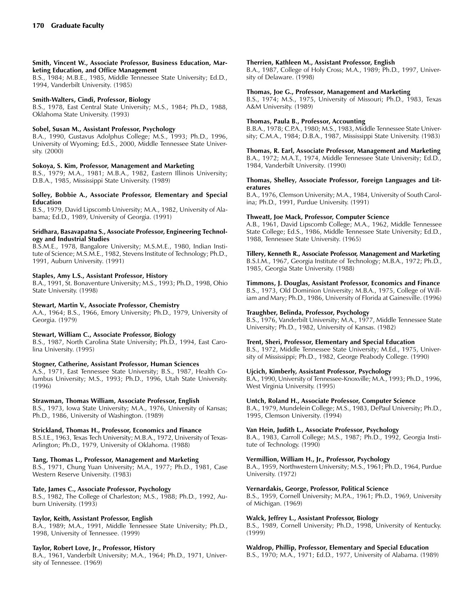Smith, Vincent W., Associate Professor, Business Education, Marketing Education, and Office Management

B.S., 1984; M.B.E., 1985, Middle Tennessee State University; Ed.D., 1994, Vanderbilt University. (1985)

## Smith-Walters, Cindi, Professor, Biology

B.S., 1978, East Central State University; M.S., 1984; Ph.D., 1988, Oklahoma State University. (1993)

## Sobel, Susan M., Assistant Professor, Psychology

B.A., 1990, Gustavus Adolphus College; M.S., 1993; Ph.D., 1996, University of Wyoming; Ed.S., 2000, Middle Tennessee State University. (2000)

#### Sokoya, S. Kim, Professor, Management and Marketing

B.S., 1979; M.A., 1981; M.B.A., 1982, Eastern Illinois University; D.B.A., 1985, Mississippi State University. (1989)

#### Solley, Bobbie A., Associate Professor, Elementary and Special Education

B.S., 1979, David Lipscomb University; M.A., 1982, University of Alabama; Ed.D., 1989, University of Georgia. (1991)

#### Sridhara, Basavapatna S., Associate Professor, Engineering Technology and Industrial Studies

B.S.M.E., 1978, Bangalore University; M.S.M.E., 1980, Indian Institute of Science; M.S.M.E., 1982, Stevens Institute of Technology; Ph.D., 1991, Auburn University. (1991)

## Staples, Amy L.S., Assistant Professor, History

B.A., 1991, St. Bonaventure University; M.S., 1993; Ph.D., 1998, Ohio State University. (1998)

## Stewart, Martin V., Associate Professor, Chemistry

A.A., 1964; B.S., 1966, Emory University; Ph.D., 1979, University of Georgia. (1979)

#### Stewart, William C., Associate Professor, Biology

B.S., 1987, North Carolina State University; Ph.D., 1994, East Carolina University. (1995)

## Stogner, Catherine, Assistant Professor, Human Sciences

A.S., 1971, East Tennessee State University; B.S., 1987, Health Columbus University; M.S., 1993; Ph.D., 1996, Utah State University. (1996)

## Strawman, Thomas William, Associate Professor, English

B.S., 1973, Iowa State University; M.A., 1976, University of Kansas; Ph.D., 1986, University of Washington. (1989)

## Strickland, Thomas H., Professor, Economics and Finance

B.S.I.E., 1963, Texas Tech University; M.B.A., 1972, University of Texas-Arlington; Ph.D., 1979, University of Oklahoma. (1988)

## Tang, Thomas L., Professor, Management and Marketing

B.S., 1971, Chung Yuan University; M.A., 1977; Ph.D., 1981, Case Western Reserve University. (1983)

## Tate, James C., Associate Professor, Psychology

B.S., 1982, The College of Charleston; M.S., 1988; Ph.D., 1992, Auburn University. (1993)

## Taylor, Keith, Assistant Professor, English

B.A., 1989; M.A., 1991, Middle Tennessee State University; Ph.D., 1998, University of Tennessee. (1999)

## Taylor, Robert Love, Jr., Professor, History

B.A., 1961, Vanderbilt University; M.A., 1964; Ph.D., 1971, University of Tennessee. (1969)

#### Therrien, Kathleen M., Assistant Professor, English

B.A., 1987, College of Holy Cross; M.A., 1989; Ph.D., 1997, University of Delaware. (1998)

#### Thomas, Joe G., Professor, Management and Marketing

B.S., 1974; M.S., 1975, University of Missouri; Ph.D., 1983, Texas A&M University. (1989)

#### Thomas, Paula B., Professor, Accounting

B.B.A., 1978; C.P.A., 1980; M.S., 1983, Middle Tennessee State University; C.M.A., 1984; D.B.A., 1987, Mississippi State University. (1983)

## Thomas, R. Earl, Associate Professor, Management and Marketing

B.A., 1972; M.A.T., 1974, Middle Tennessee State University; Ed.D., 1984, Vanderbilt University. (1990)

#### Thomas, Shelley, Associate Professor, Foreign Languages and Literatures

B.A., 1976, Clemson University; M.A., 1984, University of South Carolina; Ph.D., 1991, Purdue University. (1991)

#### Thweatt, Joe Mack, Professor, Computer Science

A.B., 1961, David Lipscomb College; M.A., 1962, Middle Tennessee State College; Ed.S., 1986, Middle Tennessee State University; Ed.D., 1988, Tennessee State University. (1965)

## Tillery, Kenneth R., Associate Professor, Management and Marketing

B.S.I.M., 1967, Georgia Institute of Technology; M.B.A., 1972; Ph.D., 1985, Georgia State University. (1988)

#### Timmons, J. Douglas, Assistant Professor, Economics and Finance

B.S., 1973, Old Dominion University; M.B.A., 1975, College of William and Mary; Ph.D., 1986, University of Florida at Gainesville. (1996)

## Traughber, Belinda, Professor, Psychology

B.S., 1976, Vanderbilt University; M.A., 1977, Middle Tennessee State University; Ph.D., 1982, University of Kansas. (1982)

## Trent, Sheri, Professor, Elementary and Special Education

B.S., 1972, Middle Tennessee State University; M.Ed., 1975, University of Mississippi; Ph.D., 1982, George Peabody College. (1990)

## Ujcich, Kimberly, Assistant Professor, Psychology

B.A., 1990, University of Tennessee-Knoxville; M.A., 1993; Ph.D., 1996, West Virginia University. (1995)

## Untch, Roland H., Associate Professor, Computer Science

B.A., 1979, Mundelein College; M.S., 1983, DePaul University; Ph.D., 1995, Clemson University. (1994)

## Van Hein, Judith L., Associate Professor, Psychology

B.A., 1983, Carroll College; M.S., 1987; Ph.D., 1992, Georgia Institute of Technology. (1990)

## Vermillion, William H., Jr., Professor, Psychology

B.A., 1959, Northwestern University; M.S., 1961; Ph.D., 1964, Purdue University. (1972)

## Vernardakis, George, Professor, Political Science

B.S., 1959, Cornell University; M.P.A., 1961; Ph.D., 1969, University of Michigan. (1969)

#### Walck, Jeffrey L., Assistant Professor, Biology

B.S., 1989, Cornell University; Ph.D., 1998, University of Kentucky. (1999)

## Waldrop, Phillip, Professor, Elementary and Special Education

B.S., 1970; M.A., 1971; Ed.D., 1977, University of Alabama. (1989)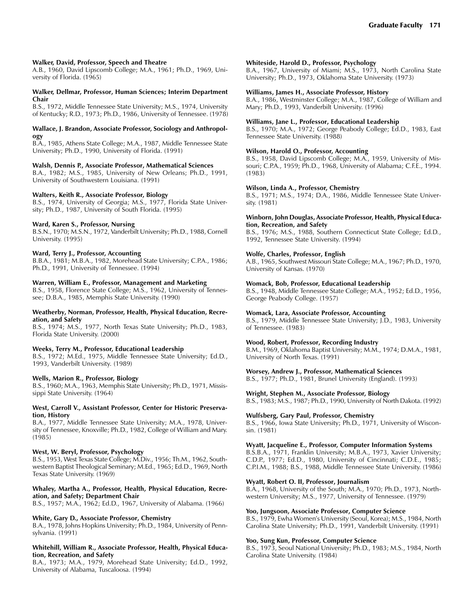#### Walker, David, Professor, Speech and Theatre

A.B., 1960, David Lipscomb College; M.A., 1961; Ph.D., 1969, University of Florida. (1965)

#### Walker, Dellmar, Professor, Human Sciences; Interim Department Chair

B.S., 1972, Middle Tennessee State University; M.S., 1974, University of Kentucky; R.D., 1973; Ph.D., 1986, University of Tennessee. (1978)

#### Wallace, J. Brandon, Associate Professor, Sociology and Anthropology

B.A., 1985, Athens State College; M.A., 1987, Middle Tennessee State University; Ph.D., 1990, University of Florida. (1991)

#### Walsh, Dennis P., Associate Professor, Mathematical Sciences

B.A., 1982; M.S., 1985, University of New Orleans; Ph.D., 1991, University of Southwestern Louisiana. (1991)

## Walters, Keith R., Associate Professor, Biology

B.S., 1974, University of Georgia; M.S., 1977, Florida State University; Ph.D., 1987, University of South Florida. (1995)

#### Ward, Karen S., Professor, Nursing

B.S.N., 1970; M.S.N., 1972, Vanderbilt University; Ph.D., 1988, Cornell University. (1995)

#### Ward, Terry J., Professor, Accounting

B.B.A., 1981; M.B.A., 1982, Morehead State University; C.P.A., 1986; Ph.D., 1991, University of Tennessee. (1994)

#### Warren, William E., Professor, Management and Marketing

B.S., 1958, Florence State College; M.S., 1962, University of Tennessee; D.B.A., 1985, Memphis State University. (1990)

#### Weatherby, Norman, Professor, Health, Physical Education, Recreation, and Safety

B.S., 1974; M.S., 1977, North Texas State University; Ph.D., 1983, Florida State University. (2000)

## Weeks, Terry M., Professor, Educational Leadership

B.S., 1972; M.Ed., 1975, Middle Tennessee State University; Ed.D., 1993, Vanderbilt University. (1989)

#### Wells, Marion R., Professor, Biology

B.S., 1960; M.A., 1963, Memphis State University; Ph.D., 1971, Mississippi State University. (1964)

#### West, Carroll V., Assistant Professor, Center for Historic Preservation, History

B.A., 1977, Middle Tennessee State University; M.A., 1978, University of Tennessee, Knoxville; Ph.D., 1982, College of William and Mary. (1985)

## West, W. Beryl, Professor, Psychology

B.S., 1953, West Texas State College; M.Div., 1956; Th.M., 1962, Southwestern Baptist Theological Seminary; M.Ed., 1965; Ed.D., 1969, North Texas State University. (1969)

#### Whaley, Martha A., Professor, Health, Physical Education, Recreation, and Safety; Department Chair

B.S., 1957; M.A., 1962; Ed.D., 1967, University of Alabama. (1966)

## White, Gary D., Associate Professor, Chemistry

B.A., 1978, Johns Hopkins University; Ph.D., 1984, University of Pennsylvania. (1991)

#### Whitehill, William R., Associate Professor, Health, Physical Education, Recreation, and Safety

B.A., 1973; M.A., 1979, Morehead State University; Ed.D., 1992, University of Alabama, Tuscaloosa. (1994)

#### Whiteside, Harold D., Professor, Psychology

B.A., 1967, University of Miami; M.S., 1973, North Carolina State University; Ph.D., 1973, Oklahoma State University. (1973)

## Williams, James H., Associate Professor, History

B.A., 1986, Westminster College; M.A., 1987, College of William and Mary; Ph.D., 1993, Vanderbilt University. (1996)

#### Williams, Jane L., Professor, Educational Leadership

B.S., 1970; M.A., 1972; George Peabody College; Ed.D., 1983, East Tennessee State University. (1988)

## Wilson, Harold O., Professor, Accounting

B.S., 1958, David Lipscomb College; M.A., 1959, University of Missouri; C.P.A., 1959; Ph.D., 1968, University of Alabama; C.F.E., 1994. (1983)

#### Wilson, Linda A., Professor, Chemistry

B.S., 1971; M.S., 1974; D.A., 1986, Middle Tennessee State University. (1981)

#### Winborn, John Douglas, Associate Professor, Health, Physical Education, Recreation, and Safety

B.S., 1976; M.S., 1988, Southern Connecticut State College; Ed.D., 1992, Tennessee State University. (1994)

## Wolfe, Charles, Professor, English

A.B., 1965, Southwest Missouri State College; M.A., 1967; Ph.D., 1970, University of Kansas. (1970)

#### Womack, Bob, Professor, Educational Leadership

B.S., 1948, Middle Tennessee State College; M.A., 1952; Ed.D., 1956, George Peabody College. (1957)

## Womack, Lara, Associate Professor, Accounting

B.S., 1979, Middle Tennessee State University; J.D., 1983, University of Tennessee. (1983)

## Wood, Robert, Professor, Recording Industry

B.M., 1969, Oklahoma Baptist University; M.M., 1974; D.M.A., 1981, University of North Texas. (1991)

## Worsey, Andrew J., Professor, Mathematical Sciences

B.S., 1977; Ph.D., 1981, Brunel University (England). (1993)

## Wright, Stephen M., Associate Professor, Biology

B.S., 1983; M.S., 1987; Ph.D., 1990, University of North Dakota. (1992)

#### Wulfsberg, Gary Paul, Professor, Chemistry

B.S., 1966, Iowa State University; Ph.D., 1971, University of Wisconsin. (1981)

## Wyatt, Jacqueline E., Professor, Computer Information Systems

B.S.B.A., 1971, Franklin University; M.B.A., 1973, Xavier University; C.D.P., 1977; Ed.D., 1980, University of Cincinnati; C.D.E., 1985; C.P.I.M., 1988; B.S., 1988, Middle Tennessee State University. (1986)

#### Wyatt, Robert O. II, Professor, Journalism

B.A., 1968, University of the South; M.A., 1970; Ph.D., 1973, Northwestern University; M.S., 1977, University of Tennessee. (1979)

#### Yoo, Jungsoon, Associate Professor, Computer Science

B.S., 1979, Ewha Women's University (Seoul, Korea); M.S., 1984, North Carolina State University; Ph.D., 1991, Vanderbilt University. (1991)

#### Yoo, Sung Kun, Professor, Computer Science

B.S., 1973, Seoul National University; Ph.D., 1983; M.S., 1984, North Carolina State University. (1984)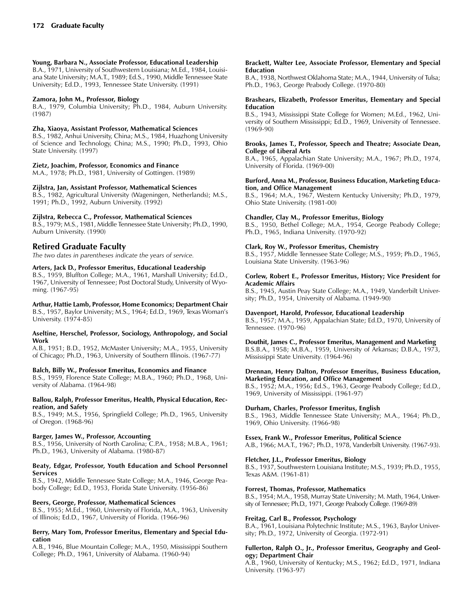## Young, Barbara N., Associate Professor, Educational Leadership

B.A., 1971, University of Southwestern Louisiana; M.Ed., 1984, Louisiana State University; M.A.T., 1989; Ed.S., 1990, Middle Tennessee State University; Ed.D., 1993, Tennessee State University. (1991)

#### Zamora, John M., Professor, Biology

B.A., 1979, Columbia University; Ph.D., 1984, Auburn University. (1987)

## Zha, Xiaoya, Assistant Professor, Mathematical Sciences

B.S., 1982, Anhui University, China; M.S., 1984, Huazhong University of Science and Technology, China; M.S., 1990; Ph.D., 1993, Ohio State University. (1997)

#### Zietz, Joachim, Professor, Economics and Finance

M.A., 1978; Ph.D., 1981, University of Gottingen. (1989)

#### Zijlstra, Jan, Assistant Professor, Mathematical Sciences

B.S., 1982, Agricultural University (Wageningen, Netherlands); M.S., 1991; Ph.D., 1992, Auburn University. (1992)

#### Zijlstra, Rebecca C., Professor, Mathematical Sciences

B.S., 1979; M.S., 1981, Middle Tennessee State University; Ph.D., 1990, Auburn University. (1990)

## Retired Graduate Faculty

The two dates in parentheses indicate the years of service.

## Arters, Jack D., Professor Emeritus, Educational Leadership

B.S., 1959, Bluffton College; M.A., 1961, Marshall University; Ed.D., 1967, University of Tennessee; Post Doctoral Study, University of Wyoming. (1967-95)

Arthur, Hattie Lamb, Professor, Home Economics; Department Chair B.S., 1957, Baylor University; M.S., 1964; Ed.D., 1969, Texas Woman's University. (1974-85)

#### Aseltine, Herschel, Professor, Sociology, Anthropology, and Social Work

A.B., 1951; B.D., 1952, McMaster University; M.A., 1955, University of Chicago; Ph.D., 1963, University of Southern Illinois. (1967-77)

## Balch, Billy W., Professor Emeritus, Economics and Finance

B.S., 1959, Florence State College; M.B.A., 1960; Ph.D., 1968, University of Alabama. (1964-98)

#### Ballou, Ralph, Professor Emeritus, Health, Physical Education, Recreation, and Safety

B.S., 1949; M.S., 1956, Springfield College; Ph.D., 1965, University of Oregon. (1968-96)

#### Barger, James W., Professor, Accounting

B.S., 1956, University of North Carolina; C.P.A., 1958; M.B.A., 1961; Ph.D., 1963, University of Alabama. (1980-87)

#### Beaty, Edgar, Professor, Youth Education and School Personnel Services

B.S., 1942, Middle Tennessee State College; M.A., 1946, George Peabody College; Ed.D., 1953, Florida State University. (1956-86)

#### Beers, George, Professor, Mathematical Sciences

B.S., 1955; M.Ed., 1960, University of Florida, M.A., 1963, University of Illinois; Ed.D., 1967, University of Florida. (1966-96)

#### Berry, Mary Tom, Professor Emeritus, Elementary and Special Education

A.B., 1946, Blue Mountain College; M.A., 1950, Mississippi Southern College; Ph.D., 1961, University of Alabama. (1960-94)

#### Brackett, Walter Lee, Associate Professor, Elementary and Special Education

B.A., 1938, Northwest Oklahoma State; M.A., 1944, University of Tulsa; Ph.D., 1963, George Peabody College. (1970-80)

#### Brashears, Elizabeth, Professor Emeritus, Elementary and Special Education

B.S., 1943, Mississippi State College for Women; M.Ed., 1962, University of Southern Mississippi; Ed.D., 1969, University of Tennessee.  $(1969-90)$ 

#### Brooks, James T., Professor, Speech and Theatre; Associate Dean, College of Liberal Arts

B.A., 1965, Appalachian State University; M.A., 1967; Ph.D., 1974, University of Florida. (1969-00)

#### Burford, Anna M., Professor, Business Education, Marketing Education, and Office Management

B.S., 1964; M.A., 1967, Western Kentucky University; Ph.D., 1979, Ohio State University. (1981-00)

## Chandler, Clay M., Professor Emeritus, Biology

B.S., 1950, Bethel College; M.A., 1954, George Peabody College; Ph.D., 1965, Indiana University. (1970-92)

#### Clark, Roy W., Professor Emeritus, Chemistry

B.S., 1957, Middle Tennessee State College; M.S., 1959; Ph.D., 1965, Louisiana State University. (1963-96)

#### Corlew, Robert E., Professor Emeritus, History; Vice President for Academic Affairs

B.S., 1945, Austin Peay State College; M.A., 1949, Vanderbilt University; Ph.D., 1954, University of Alabama. (1949-90)

## Davenport, Harold, Professor, Educational Leadership

B.S., 1957; M.A., 1959, Appalachian State; Ed.D., 1970, University of Tennessee. (1970-96)

## Douthit, James C., Professor Emeritus, Management and Marketing

B.S.B.A., 1958; M.B.A., 1959, University of Arkansas; D.B.A., 1973, Mississippi State University. (1964-96)

#### Drennan, Henry Dalton, Professor Emeritus, Business Education, Marketing Education, and Office Management

B.S., 1952; M.A., 1956; Ed.S., 1963, George Peabody College; Ed.D., 1969, University of Mississippi. (1961-97)

## Durham, Charles, Professor Emeritus, English

B.S., 1963, Middle Tennessee State University; M.A., 1964; Ph.D., 1969, Ohio University. (1966-98)

## Essex, Frank W., Professor Emeritus, Political Science

A.B., 1966; M.A.T., 1967; Ph.D., 1978, Vanderbilt University. (1967-93).

## Fletcher, J.L., Professor Emeritus, Biology

B.S., 1937, Southwestern Louisiana Institute; M.S., 1939; Ph.D., 1955, Texas A&M. (1961-81)

## Forrest, Thomas, Professor, Mathematics

B.S., 1954; M.A., 1958, Murray State University; M. Math, 1964, University of Tennessee; Ph.D., 1971, George Peabody College. (1969-89)

#### Freitag, Carl B., Professor, Psychology

B.A., 1961, Louisiana Polytechnic Institute; M.S., 1963, Baylor University; Ph.D., 1972, University of Georgia. (1972-91)

#### Fullerton, Ralph O., Jr., Professor Emeritus, Geography and Geology; Department Chair

A.B., 1960, University of Kentucky; M.S., 1962; Ed.D., 1971, Indiana University. (1963-97)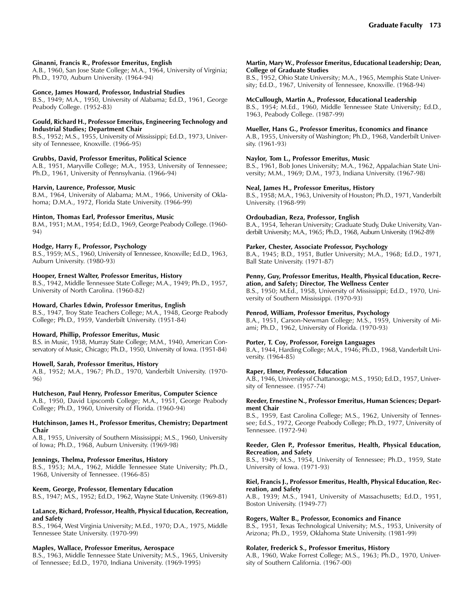#### Ginanni, Francis R., Professor Emeritus, English

A.B., 1960, San Jose State College; M.A., 1964, University of Virginia; Ph.D., 1970, Auburn University. (1964-94)

#### Gonce, James Howard, Professor, Industrial Studies

B.S., 1949; M.A., 1950, University of Alabama; Ed.D., 1961, George Peabody College. (1952-83)

#### Gould, Richard H., Professor Emeritus, Engineering Technology and Industrial Studies; Department Chair

B.S., 1952; M.S., 1955, University of Mississippi; Ed.D., 1973, University of Tennessee, Knoxville. (1966-95)

#### Grubbs, David, Professor Emeritus, Political Science

A.B., 1951, Maryville College; M.A., 1953, University of Tennessee; Ph.D., 1961, University of Pennsylvania. (1966-94)

#### Harvin, Laurence, Professor, Music

B.M., 1964, University of Alabama; M.M., 1966, University of Oklahoma; D.M.A., 1972, Florida State University. (1966-99)

#### Hinton, Thomas Earl, Professor Emeritus, Music

B.M., 1951; M.M., 1954; Ed.D., 1969, George Peabody College. (1960- 94)

#### Hodge, Harry F., Professor, Psychology

B.S., 1959; M.S., 1960, University of Tennessee, Knoxville; Ed.D., 1963, Auburn University. (1980-93)

#### Hooper, Ernest Walter, Professor Emeritus, History

B.S., 1942, Middle Tennessee State College; M.A., 1949; Ph.D., 1957, University of North Carolina. (1960-82)

#### Howard, Charles Edwin, Professor Emeritus, English

B.S., 1947, Troy State Teachers College; M.A., 1948, George Peabody College; Ph.D., 1959, Vanderbilt University. (1951-84)

#### Howard, Phillip, Professor Emeritus, Music

B.S. in Music, 1938, Murray State College; M.M., 1940, American Conservatory of Music, Chicago; Ph.D., 1950, University of Iowa. (1951-84)

## Howell, Sarah, Professor Emeritus, History

A.B., 1952; M.A., 1967; Ph.D., 1970, Vanderbilt University. (1970- 96)

#### Hutcheson, Paul Henry, Professor Emeritus, Computer Science

A.B., 1950, David Lipscomb College; M.A., 1951, George Peabody College; Ph.D., 1960, University of Florida. (1960-94)

#### Hutchinson, James H., Professor Emeritus, Chemistry; Department Chair

A.B., 1955, University of Southern Mississippi; M.S., 1960, University of Iowa; Ph.D., 1968, Auburn University. (1969-98)

## Jennings, Thelma, Professor Emeritus, History

B.S., 1953; M.A., 1962, Middle Tennessee State University; Ph.D., 1968, University of Tennessee. (1966-85)

#### Keem, George, Professor, Elementary Education

B.S., 1947; M.S., 1952; Ed.D., 1962, Wayne State University. (1969-81)

#### LaLance, Richard, Professor, Health, Physical Education, Recreation, and Safety

B.S., 1964, West Virginia University; M.Ed., 1970; D.A., 1975, Middle Tennessee State University. (1970-99)

## Maples, Wallace, Professor Emeritus, Aerospace

B.S., 1963, Middle Tennessee State University; M.S., 1965, University of Tennessee; Ed.D., 1970, Indiana University. (1969-1995)

#### Martin, Mary W., Professor Emeritus, Educational Leadership; Dean, College of Graduate Studies

B.S., 1952, Ohio State University; M.A., 1965, Memphis State University; Ed.D., 1967, University of Tennessee, Knoxville. (1968-94)

#### McCullough, Martin A., Professor, Educational Leadership

B.S., 1954; M.Ed., 1960, Middle Tennessee State University; Ed.D., 1963, Peabody College. (1987-99)

#### Mueller, Hans G., Professor Emeritus, Economics and Finance

A.B., 1955, University of Washington; Ph.D., 1968, Vanderbilt University. (1961-93)

## Naylor, Tom L., Professor Emeritus, Music

B.S., 1961, Bob Jones University; M.A., 1962, Appalachian State University; M.M., 1969; D.M., 1973, Indiana University. (1967-98)

#### Neal, James H., Professor Emeritus, History

B.S., 1958; M.A., 1963, University of Houston; Ph.D., 1971, Vanderbilt University. (1968-99)

## Ordoubadian, Reza, Professor, English

B.A., 1954, Teheran University; Graduate Study, Duke University, Vanderbilt University; M.A., 1965; Ph.D., 1968, Auburn University. (1962-89)

## Parker, Chester, Associate Professor, Psychology

B.A., 1945; B.D., 1951, Butler University; M.A., 1968; Ed.D., 1971, Ball State University. (1971-87)

#### Penny, Guy, Professor Emeritus, Health, Physical Education, Recreation, and Safety; Director, The Wellness Center

B.S., 1950; M.Ed., 1958, University of Mississippi; Ed.D., 1970, University of Southern Mississippi. (1970-93)

## Penrod, William, Professor Emeritus, Psychology

B.A., 1951, Carson-Newman College; M.S., 1959, University of Miami; Ph.D., 1962, University of Florida. (1970-93)

## Porter, T. Coy, Professor, Foreign Languages

B.A., 1944, Harding College; M.A., 1946; Ph.D., 1968, Vanderbilt University. (1964-85)

## Raper, Elmer, Professor, Education

A.B., 1946, University of Chattanooga; M.S., 1950; Ed.D., 1957, University of Tennessee. (1957-74)

#### Reeder, Ernestine N., Professor Emeritus, Human Sciences; Department Chair

B.S., 1959, East Carolina College; M.S., 1962, University of Tennessee; Ed.S., 1972, George Peabody College; Ph.D., 1977, University of Tennessee. (1972-94)

#### Reeder, Glen P., Professor Emeritus, Health, Physical Education, Recreation, and Safety

B.S., 1949; M.S., 1954, University of Tennessee; Ph.D., 1959, State University of Iowa. (1971-93)

#### Riel, Francis J., Professor Emeritus, Health, Physical Education, Recreation, and Safety

A.B., 1939; M.S., 1941, University of Massachusetts; Ed.D., 1951, Boston University. (1949-77)

#### Rogers, Walter B., Professor, Economics and Finance

B.S., 1951, Texas Technological University; M.S., 1953, University of Arizona; Ph.D., 1959, Oklahoma State University. (1981-99)

## Rolater, Frederick S., Professor Emeritus, History

A.B., 1960, Wake Forrest College; M.S., 1963; Ph.D., 1970, University of Southern California. (1967-00)